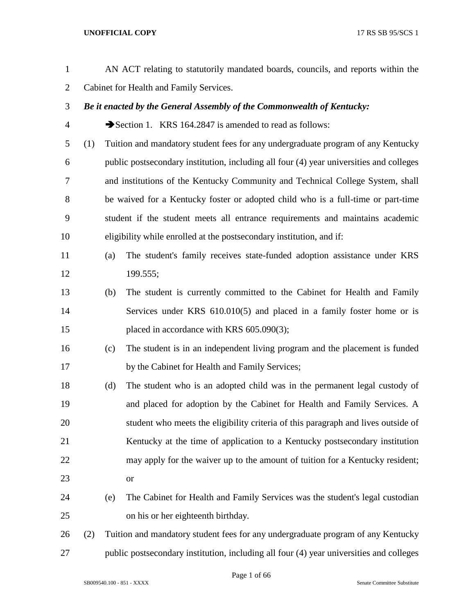| $\mathbf{1}$   |     |                                         | AN ACT relating to statutorily mandated boards, councils, and reports within the        |  |  |
|----------------|-----|-----------------------------------------|-----------------------------------------------------------------------------------------|--|--|
| $\overline{2}$ |     | Cabinet for Health and Family Services. |                                                                                         |  |  |
| 3              |     |                                         | Be it enacted by the General Assembly of the Commonwealth of Kentucky:                  |  |  |
| $\overline{4}$ |     |                                         | Section 1. KRS 164.2847 is amended to read as follows:                                  |  |  |
| 5              | (1) |                                         | Tuition and mandatory student fees for any undergraduate program of any Kentucky        |  |  |
| 6              |     |                                         | public postsecondary institution, including all four (4) year universities and colleges |  |  |
| 7              |     |                                         | and institutions of the Kentucky Community and Technical College System, shall          |  |  |
| 8              |     |                                         | be waived for a Kentucky foster or adopted child who is a full-time or part-time        |  |  |
| 9              |     |                                         | student if the student meets all entrance requirements and maintains academic           |  |  |
| 10             |     |                                         | eligibility while enrolled at the postsecondary institution, and if:                    |  |  |
| 11             |     | (a)                                     | The student's family receives state-funded adoption assistance under KRS                |  |  |
| 12             |     |                                         | 199.555;                                                                                |  |  |
| 13             |     | (b)                                     | The student is currently committed to the Cabinet for Health and Family                 |  |  |
| 14             |     |                                         | Services under KRS 610.010(5) and placed in a family foster home or is                  |  |  |
| 15             |     |                                         | placed in accordance with KRS 605.090(3);                                               |  |  |
| 16             |     | (c)                                     | The student is in an independent living program and the placement is funded             |  |  |
| 17             |     |                                         | by the Cabinet for Health and Family Services;                                          |  |  |
| 18             |     | (d)                                     | The student who is an adopted child was in the permanent legal custody of               |  |  |
| 19             |     |                                         | and placed for adoption by the Cabinet for Health and Family Services. A                |  |  |
| 20             |     |                                         | student who meets the eligibility criteria of this paragraph and lives outside of       |  |  |
| 21             |     |                                         | Kentucky at the time of application to a Kentucky postsecondary institution             |  |  |
| 22             |     |                                         | may apply for the waiver up to the amount of tuition for a Kentucky resident;           |  |  |
| 23             |     |                                         | <b>or</b>                                                                               |  |  |
| 24             |     | (e)                                     | The Cabinet for Health and Family Services was the student's legal custodian            |  |  |
| 25             |     |                                         | on his or her eighteenth birthday.                                                      |  |  |
| 26             | (2) |                                         | Tuition and mandatory student fees for any undergraduate program of any Kentucky        |  |  |
| 27             |     |                                         | public postsecondary institution, including all four (4) year universities and colleges |  |  |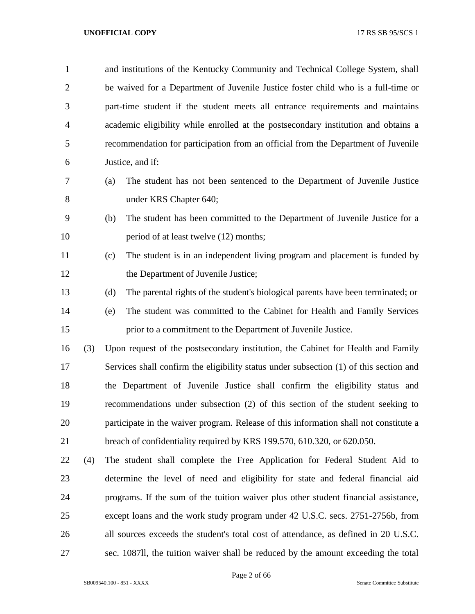| $\mathbf{1}$   |     | and institutions of the Kentucky Community and Technical College System, shall          |
|----------------|-----|-----------------------------------------------------------------------------------------|
| $\overline{2}$ |     | be waived for a Department of Juvenile Justice foster child who is a full-time or       |
| 3              |     | part-time student if the student meets all entrance requirements and maintains          |
| 4              |     | academic eligibility while enrolled at the postsecondary institution and obtains a      |
| 5              |     | recommendation for participation from an official from the Department of Juvenile       |
| 6              |     | Justice, and if:                                                                        |
| 7              |     | The student has not been sentenced to the Department of Juvenile Justice<br>(a)         |
| 8              |     | under KRS Chapter 640;                                                                  |
| 9              |     | (b)<br>The student has been committed to the Department of Juvenile Justice for a       |
| 10             |     | period of at least twelve (12) months;                                                  |
| 11             |     | The student is in an independent living program and placement is funded by<br>(c)       |
| 12             |     | the Department of Juvenile Justice;                                                     |
| 13             |     | (d)<br>The parental rights of the student's biological parents have been terminated; or |
| 14             |     | The student was committed to the Cabinet for Health and Family Services<br>(e)          |
| 15             |     | prior to a commitment to the Department of Juvenile Justice.                            |
| 16             | (3) | Upon request of the postsecondary institution, the Cabinet for Health and Family        |
| 17             |     | Services shall confirm the eligibility status under subsection (1) of this section and  |
| 18             |     | the Department of Juvenile Justice shall confirm the eligibility status and             |
| 19             |     | recommendations under subsection (2) of this section of the student seeking to          |
| 20             |     | participate in the waiver program. Release of this information shall not constitute a   |
| 21             |     | breach of confidentiality required by KRS 199.570, 610.320, or 620.050.                 |
| 22             | (4) | The student shall complete the Free Application for Federal Student Aid to              |
| 23             |     | determine the level of need and eligibility for state and federal financial aid         |
| 24             |     | programs. If the sum of the tuition waiver plus other student financial assistance,     |
| 25             |     | except loans and the work study program under 42 U.S.C. secs. 2751-2756b, from          |
| 26             |     | all sources exceeds the student's total cost of attendance, as defined in 20 U.S.C.     |
| 27             |     | sec. 1087II, the tuition waiver shall be reduced by the amount exceeding the total      |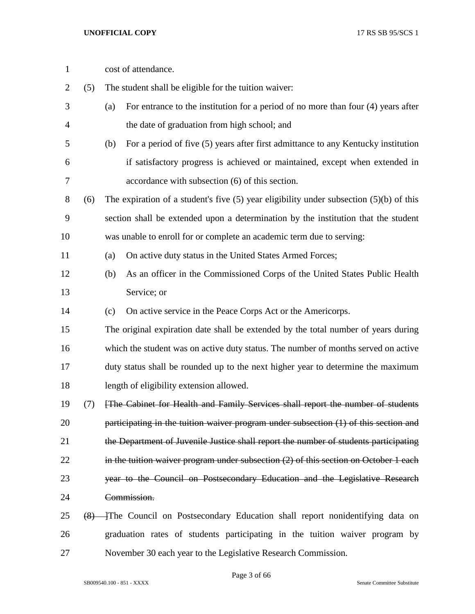| $\mathbf{1}$ |     | cost of attendance.                                                                         |
|--------------|-----|---------------------------------------------------------------------------------------------|
| 2            | (5) | The student shall be eligible for the tuition waiver:                                       |
| 3            |     | For entrance to the institution for a period of no more than four (4) years after<br>(a)    |
| 4            |     | the date of graduation from high school; and                                                |
| 5            |     | For a period of five (5) years after first admittance to any Kentucky institution<br>(b)    |
| 6            |     | if satisfactory progress is achieved or maintained, except when extended in                 |
| 7            |     | accordance with subsection (6) of this section.                                             |
| 8            | (6) | The expiration of a student's five $(5)$ year eligibility under subsection $(5)(b)$ of this |
| 9            |     | section shall be extended upon a determination by the institution that the student          |
| 10           |     | was unable to enroll for or complete an academic term due to serving:                       |
| 11           |     | On active duty status in the United States Armed Forces;<br>(a)                             |
| 12           |     | As an officer in the Commissioned Corps of the United States Public Health<br>(b)           |
| 13           |     | Service; or                                                                                 |
| 14           |     | On active service in the Peace Corps Act or the Americorps.<br>(c)                          |
| 15           |     | The original expiration date shall be extended by the total number of years during          |
| 16           |     | which the student was on active duty status. The number of months served on active          |
| 17           |     | duty status shall be rounded up to the next higher year to determine the maximum            |
| 18           |     | length of eligibility extension allowed.                                                    |
| 19           | (7) | [The Cabinet for Health and Family Services shall report the number of students             |
| 20           |     | participating in the tuition waiver program under subsection (1) of this section and        |
| 21           |     | the Department of Juvenile Justice shall report the number of students participating        |
| 22           |     | in the tuition waiver program under subsection $(2)$ of this section on October 1 each      |
| 23           |     | year to the Council on Postsecondary Education and the Legislative Research                 |
| 24           |     | Commission.                                                                                 |
| 25           |     | $(8)$ The Council on Postsecondary Education shall report nonidentifying data on            |
| 26           |     | graduation rates of students participating in the tuition waiver program by                 |
| 27           |     | November 30 each year to the Legislative Research Commission.                               |

Page 3 of 66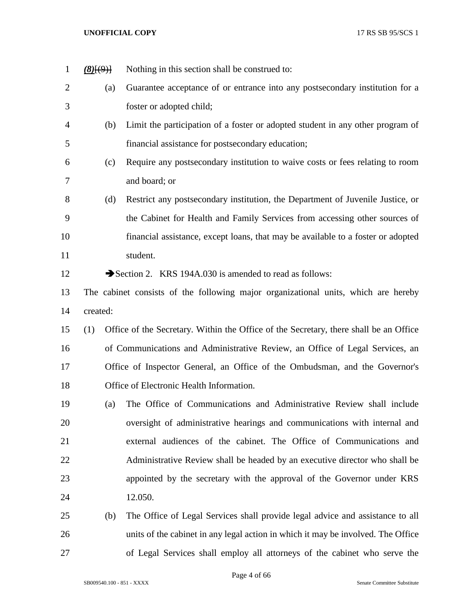| $\mathbf{1}$   | $(8)$ [ $(9)$ ] | Nothing in this section shall be construed to:                                        |
|----------------|-----------------|---------------------------------------------------------------------------------------|
| $\overline{2}$ | (a)             | Guarantee acceptance of or entrance into any postsecondary institution for a          |
| 3              |                 | foster or adopted child;                                                              |
| $\overline{4}$ | (b)             | Limit the participation of a foster or adopted student in any other program of        |
| 5              |                 | financial assistance for postsecondary education;                                     |
| 6              | (c)             | Require any postsecondary institution to waive costs or fees relating to room         |
| $\overline{7}$ |                 | and board; or                                                                         |
| 8              | (d)             | Restrict any postsecondary institution, the Department of Juvenile Justice, or        |
| 9              |                 | the Cabinet for Health and Family Services from accessing other sources of            |
| 10             |                 | financial assistance, except loans, that may be available to a foster or adopted      |
| 11             |                 | student.                                                                              |
| 12             |                 | Section 2. KRS 194A.030 is amended to read as follows:                                |
| 13             |                 | The cabinet consists of the following major organizational units, which are hereby    |
| 14             | created:        |                                                                                       |
| 15             | (1)             | Office of the Secretary. Within the Office of the Secretary, there shall be an Office |
| 16             |                 | of Communications and Administrative Review, an Office of Legal Services, an          |
| 17             |                 | Office of Inspector General, an Office of the Ombudsman, and the Governor's           |
| 18             |                 | Office of Electronic Health Information.                                              |
| 19             | (a)             | The Office of Communications and Administrative Review shall include                  |
| 20             |                 | oversight of administrative hearings and communications with internal and             |
| 21             |                 | external audiences of the cabinet. The Office of Communications and                   |
| 22             |                 | Administrative Review shall be headed by an executive director who shall be           |
| 23             |                 | appointed by the secretary with the approval of the Governor under KRS                |
| 24             |                 | 12.050.                                                                               |
| 25             | (b)             | The Office of Legal Services shall provide legal advice and assistance to all         |
| 26             |                 | units of the cabinet in any legal action in which it may be involved. The Office      |
| 27             |                 | of Legal Services shall employ all attorneys of the cabinet who serve the             |

Page 4 of 66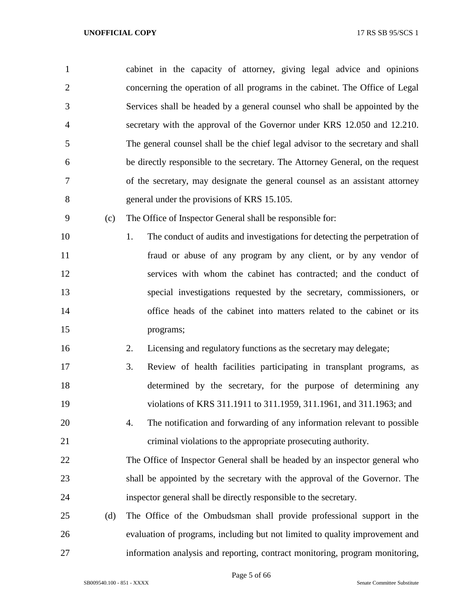| $\mathbf{1}$   |     | cabinet in the capacity of attorney, giving legal advice and opinions            |
|----------------|-----|----------------------------------------------------------------------------------|
| $\overline{2}$ |     | concerning the operation of all programs in the cabinet. The Office of Legal     |
| 3              |     | Services shall be headed by a general counsel who shall be appointed by the      |
| 4              |     | secretary with the approval of the Governor under KRS 12.050 and 12.210.         |
| 5              |     | The general counsel shall be the chief legal advisor to the secretary and shall  |
| 6              |     | be directly responsible to the secretary. The Attorney General, on the request   |
| 7              |     | of the secretary, may designate the general counsel as an assistant attorney     |
| 8              |     | general under the provisions of KRS 15.105.                                      |
| 9              | (c) | The Office of Inspector General shall be responsible for:                        |
| 10             |     | The conduct of audits and investigations for detecting the perpetration of<br>1. |
| 11             |     | fraud or abuse of any program by any client, or by any vendor of                 |
| 12             |     | services with whom the cabinet has contracted; and the conduct of                |
| 13             |     | special investigations requested by the secretary, commissioners, or             |
| 14             |     | office heads of the cabinet into matters related to the cabinet or its           |
| 15             |     | programs;                                                                        |
| 16             |     | Licensing and regulatory functions as the secretary may delegate;<br>2.          |
| 17             |     | 3.<br>Review of health facilities participating in transplant programs, as       |
| 18             |     | determined by the secretary, for the purpose of determining any                  |
| 19             |     | violations of KRS 311.1911 to 311.1959, 311.1961, and 311.1963; and              |
| 20             |     | The notification and forwarding of any information relevant to possible<br>4.    |
| 21             |     | criminal violations to the appropriate prosecuting authority.                    |
| 22             |     | The Office of Inspector General shall be headed by an inspector general who      |
| 23             |     | shall be appointed by the secretary with the approval of the Governor. The       |
| 24             |     | inspector general shall be directly responsible to the secretary.                |
| 25             | (d) | The Office of the Ombudsman shall provide professional support in the            |
|                |     |                                                                                  |

 evaluation of programs, including but not limited to quality improvement and information analysis and reporting, contract monitoring, program monitoring,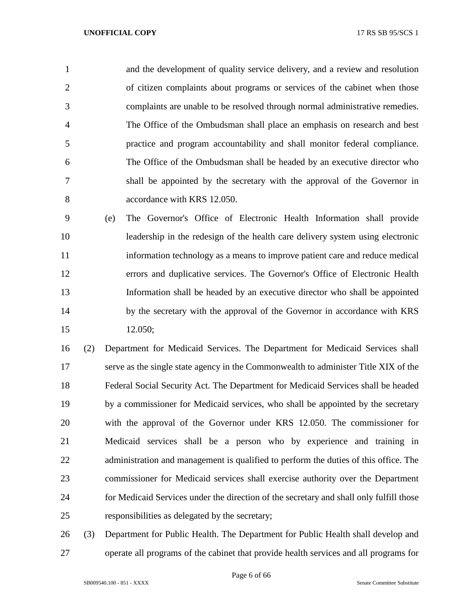and the development of quality service delivery, and a review and resolution of citizen complaints about programs or services of the cabinet when those complaints are unable to be resolved through normal administrative remedies. The Office of the Ombudsman shall place an emphasis on research and best practice and program accountability and shall monitor federal compliance. The Office of the Ombudsman shall be headed by an executive director who shall be appointed by the secretary with the approval of the Governor in accordance with KRS 12.050.

 (e) The Governor's Office of Electronic Health Information shall provide leadership in the redesign of the health care delivery system using electronic information technology as a means to improve patient care and reduce medical errors and duplicative services. The Governor's Office of Electronic Health Information shall be headed by an executive director who shall be appointed 14 by the secretary with the approval of the Governor in accordance with KRS 12.050;

 (2) Department for Medicaid Services. The Department for Medicaid Services shall serve as the single state agency in the Commonwealth to administer Title XIX of the Federal Social Security Act. The Department for Medicaid Services shall be headed by a commissioner for Medicaid services, who shall be appointed by the secretary with the approval of the Governor under KRS 12.050. The commissioner for Medicaid services shall be a person who by experience and training in 22 administration and management is qualified to perform the duties of this office. The commissioner for Medicaid services shall exercise authority over the Department for Medicaid Services under the direction of the secretary and shall only fulfill those responsibilities as delegated by the secretary;

 (3) Department for Public Health. The Department for Public Health shall develop and operate all programs of the cabinet that provide health services and all programs for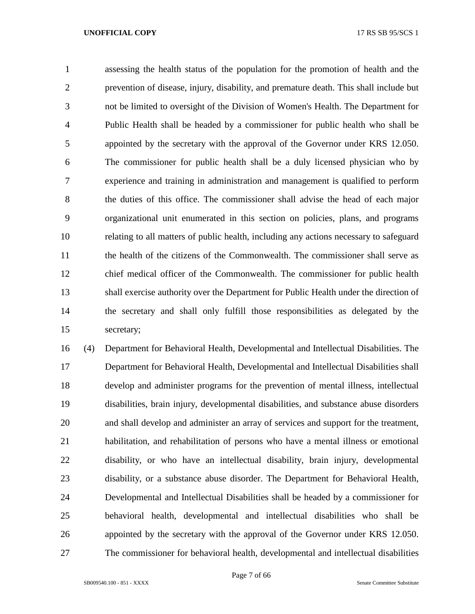assessing the health status of the population for the promotion of health and the prevention of disease, injury, disability, and premature death. This shall include but not be limited to oversight of the Division of Women's Health. The Department for Public Health shall be headed by a commissioner for public health who shall be appointed by the secretary with the approval of the Governor under KRS 12.050. The commissioner for public health shall be a duly licensed physician who by experience and training in administration and management is qualified to perform the duties of this office. The commissioner shall advise the head of each major organizational unit enumerated in this section on policies, plans, and programs relating to all matters of public health, including any actions necessary to safeguard the health of the citizens of the Commonwealth. The commissioner shall serve as chief medical officer of the Commonwealth. The commissioner for public health shall exercise authority over the Department for Public Health under the direction of the secretary and shall only fulfill those responsibilities as delegated by the secretary;

 (4) Department for Behavioral Health, Developmental and Intellectual Disabilities. The Department for Behavioral Health, Developmental and Intellectual Disabilities shall develop and administer programs for the prevention of mental illness, intellectual disabilities, brain injury, developmental disabilities, and substance abuse disorders and shall develop and administer an array of services and support for the treatment, habilitation, and rehabilitation of persons who have a mental illness or emotional disability, or who have an intellectual disability, brain injury, developmental disability, or a substance abuse disorder. The Department for Behavioral Health, Developmental and Intellectual Disabilities shall be headed by a commissioner for behavioral health, developmental and intellectual disabilities who shall be appointed by the secretary with the approval of the Governor under KRS 12.050. The commissioner for behavioral health, developmental and intellectual disabilities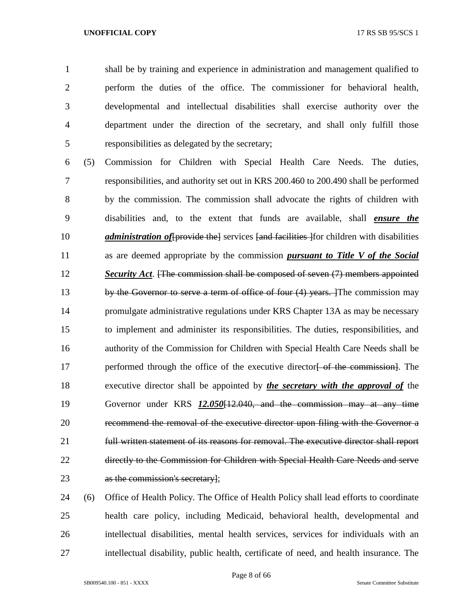shall be by training and experience in administration and management qualified to perform the duties of the office. The commissioner for behavioral health, developmental and intellectual disabilities shall exercise authority over the department under the direction of the secretary, and shall only fulfill those responsibilities as delegated by the secretary;

 (5) Commission for Children with Special Health Care Needs. The duties, responsibilities, and authority set out in KRS 200.460 to 200.490 shall be performed by the commission. The commission shall advocate the rights of children with disabilities and, to the extent that funds are available, shall *ensure the administration of* [provide the] services [and facilities ] for children with disabilities as are deemed appropriate by the commission *pursuant to Title V of the Social Security Act*. [The commission shall be composed of seven (7) members appointed 13 by the Governor to serve a term of office of four (4) years. The commission may promulgate administrative regulations under KRS Chapter 13A as may be necessary to implement and administer its responsibilities. The duties, responsibilities, and authority of the Commission for Children with Special Health Care Needs shall be 17 performed through the office of the executive director of the commission. The executive director shall be appointed by *the secretary with the approval of* the Governor under KRS *12.050*[12.040, and the commission may at any time recommend the removal of the executive director upon filing with the Governor a full written statement of its reasons for removal. The executive director shall report directly to the Commission for Children with Special Health Care Needs and serve as the commission's secretary];

 (6) Office of Health Policy. The Office of Health Policy shall lead efforts to coordinate health care policy, including Medicaid, behavioral health, developmental and intellectual disabilities, mental health services, services for individuals with an intellectual disability, public health, certificate of need, and health insurance. The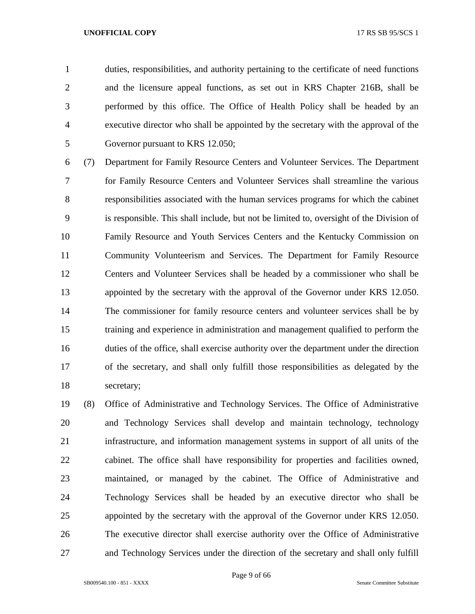duties, responsibilities, and authority pertaining to the certificate of need functions and the licensure appeal functions, as set out in KRS Chapter 216B, shall be performed by this office. The Office of Health Policy shall be headed by an executive director who shall be appointed by the secretary with the approval of the Governor pursuant to KRS 12.050;

 (7) Department for Family Resource Centers and Volunteer Services. The Department for Family Resource Centers and Volunteer Services shall streamline the various responsibilities associated with the human services programs for which the cabinet is responsible. This shall include, but not be limited to, oversight of the Division of Family Resource and Youth Services Centers and the Kentucky Commission on Community Volunteerism and Services. The Department for Family Resource Centers and Volunteer Services shall be headed by a commissioner who shall be appointed by the secretary with the approval of the Governor under KRS 12.050. The commissioner for family resource centers and volunteer services shall be by training and experience in administration and management qualified to perform the duties of the office, shall exercise authority over the department under the direction of the secretary, and shall only fulfill those responsibilities as delegated by the secretary;

 (8) Office of Administrative and Technology Services. The Office of Administrative and Technology Services shall develop and maintain technology, technology infrastructure, and information management systems in support of all units of the cabinet. The office shall have responsibility for properties and facilities owned, maintained, or managed by the cabinet. The Office of Administrative and Technology Services shall be headed by an executive director who shall be appointed by the secretary with the approval of the Governor under KRS 12.050. The executive director shall exercise authority over the Office of Administrative and Technology Services under the direction of the secretary and shall only fulfill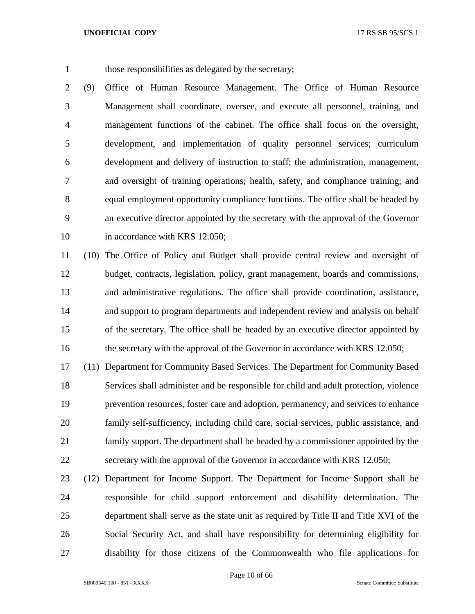those responsibilities as delegated by the secretary;

 (9) Office of Human Resource Management. The Office of Human Resource Management shall coordinate, oversee, and execute all personnel, training, and management functions of the cabinet. The office shall focus on the oversight, development, and implementation of quality personnel services; curriculum development and delivery of instruction to staff; the administration, management, and oversight of training operations; health, safety, and compliance training; and equal employment opportunity compliance functions. The office shall be headed by an executive director appointed by the secretary with the approval of the Governor 10 in accordance with KRS 12.050;

 (10) The Office of Policy and Budget shall provide central review and oversight of budget, contracts, legislation, policy, grant management, boards and commissions, and administrative regulations. The office shall provide coordination, assistance, and support to program departments and independent review and analysis on behalf of the secretary. The office shall be headed by an executive director appointed by 16 the secretary with the approval of the Governor in accordance with KRS 12.050;

 (11) Department for Community Based Services. The Department for Community Based Services shall administer and be responsible for child and adult protection, violence prevention resources, foster care and adoption, permanency, and services to enhance family self-sufficiency, including child care, social services, public assistance, and family support. The department shall be headed by a commissioner appointed by the secretary with the approval of the Governor in accordance with KRS 12.050;

 (12) Department for Income Support. The Department for Income Support shall be responsible for child support enforcement and disability determination. The department shall serve as the state unit as required by Title II and Title XVI of the Social Security Act, and shall have responsibility for determining eligibility for disability for those citizens of the Commonwealth who file applications for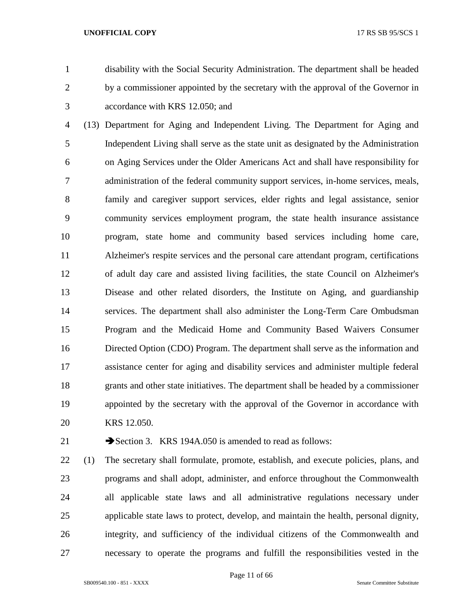disability with the Social Security Administration. The department shall be headed by a commissioner appointed by the secretary with the approval of the Governor in accordance with KRS 12.050; and

 (13) Department for Aging and Independent Living. The Department for Aging and Independent Living shall serve as the state unit as designated by the Administration on Aging Services under the Older Americans Act and shall have responsibility for administration of the federal community support services, in-home services, meals, family and caregiver support services, elder rights and legal assistance, senior community services employment program, the state health insurance assistance program, state home and community based services including home care, Alzheimer's respite services and the personal care attendant program, certifications of adult day care and assisted living facilities, the state Council on Alzheimer's Disease and other related disorders, the Institute on Aging, and guardianship services. The department shall also administer the Long-Term Care Ombudsman Program and the Medicaid Home and Community Based Waivers Consumer Directed Option (CDO) Program. The department shall serve as the information and assistance center for aging and disability services and administer multiple federal grants and other state initiatives. The department shall be headed by a commissioner appointed by the secretary with the approval of the Governor in accordance with KRS 12.050.

21 Section 3. KRS 194A.050 is amended to read as follows:

 (1) The secretary shall formulate, promote, establish, and execute policies, plans, and programs and shall adopt, administer, and enforce throughout the Commonwealth all applicable state laws and all administrative regulations necessary under applicable state laws to protect, develop, and maintain the health, personal dignity, integrity, and sufficiency of the individual citizens of the Commonwealth and necessary to operate the programs and fulfill the responsibilities vested in the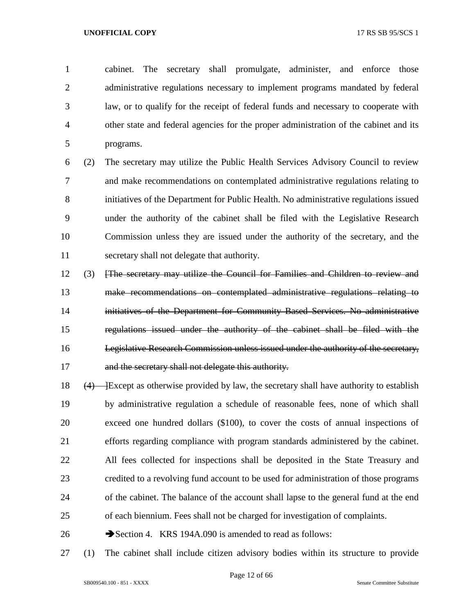cabinet. The secretary shall promulgate, administer, and enforce those administrative regulations necessary to implement programs mandated by federal law, or to qualify for the receipt of federal funds and necessary to cooperate with other state and federal agencies for the proper administration of the cabinet and its programs.

 (2) The secretary may utilize the Public Health Services Advisory Council to review and make recommendations on contemplated administrative regulations relating to initiatives of the Department for Public Health. No administrative regulations issued under the authority of the cabinet shall be filed with the Legislative Research Commission unless they are issued under the authority of the secretary, and the secretary shall not delegate that authority.

- (3) [The secretary may utilize the Council for Families and Children to review and make recommendations on contemplated administrative regulations relating to initiatives of the Department for Community Based Services. No administrative regulations issued under the authority of the cabinet shall be filed with the Legislative Research Commission unless issued under the authority of the secretary, and the secretary shall not delegate this authority.
- 18  $(4)$  Except as otherwise provided by law, the secretary shall have authority to establish by administrative regulation a schedule of reasonable fees, none of which shall exceed one hundred dollars (\$100), to cover the costs of annual inspections of efforts regarding compliance with program standards administered by the cabinet. All fees collected for inspections shall be deposited in the State Treasury and credited to a revolving fund account to be used for administration of those programs of the cabinet. The balance of the account shall lapse to the general fund at the end of each biennium. Fees shall not be charged for investigation of complaints.
- 26 Section 4. KRS 194A.090 is amended to read as follows:
- (1) The cabinet shall include citizen advisory bodies within its structure to provide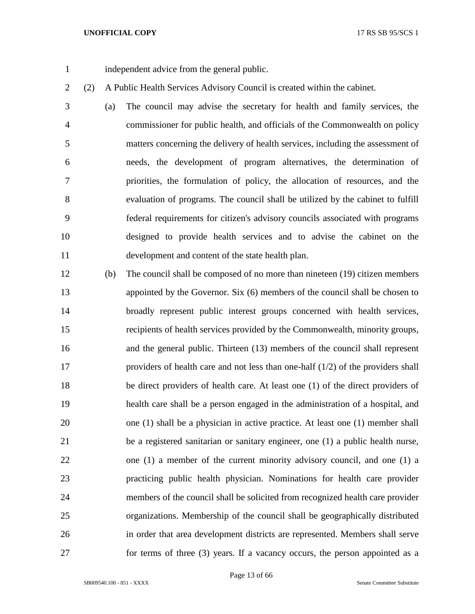independent advice from the general public.

(2) A Public Health Services Advisory Council is created within the cabinet.

 (a) The council may advise the secretary for health and family services, the commissioner for public health, and officials of the Commonwealth on policy matters concerning the delivery of health services, including the assessment of needs, the development of program alternatives, the determination of priorities, the formulation of policy, the allocation of resources, and the evaluation of programs. The council shall be utilized by the cabinet to fulfill federal requirements for citizen's advisory councils associated with programs designed to provide health services and to advise the cabinet on the development and content of the state health plan.

 (b) The council shall be composed of no more than nineteen (19) citizen members appointed by the Governor. Six (6) members of the council shall be chosen to broadly represent public interest groups concerned with health services, recipients of health services provided by the Commonwealth, minority groups, and the general public. Thirteen (13) members of the council shall represent providers of health care and not less than one-half (1/2) of the providers shall be direct providers of health care. At least one (1) of the direct providers of health care shall be a person engaged in the administration of a hospital, and one (1) shall be a physician in active practice. At least one (1) member shall be a registered sanitarian or sanitary engineer, one (1) a public health nurse, one (1) a member of the current minority advisory council, and one (1) a practicing public health physician. Nominations for health care provider members of the council shall be solicited from recognized health care provider organizations. Membership of the council shall be geographically distributed in order that area development districts are represented. Members shall serve for terms of three (3) years. If a vacancy occurs, the person appointed as a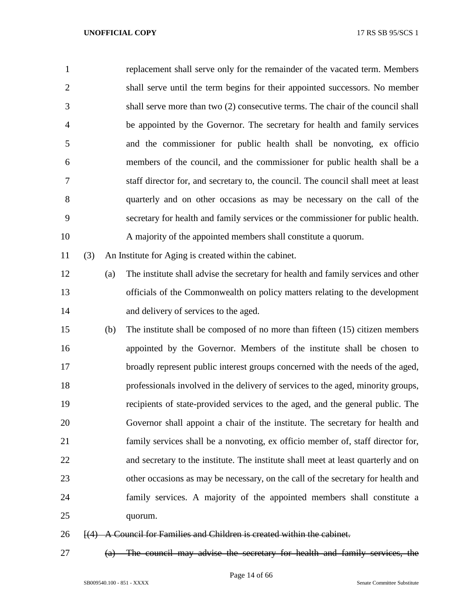| $\mathbf{1}$   |     |     | replacement shall serve only for the remainder of the vacated term. Members        |
|----------------|-----|-----|------------------------------------------------------------------------------------|
| $\overline{2}$ |     |     | shall serve until the term begins for their appointed successors. No member        |
| 3              |     |     | shall serve more than two (2) consecutive terms. The chair of the council shall    |
| $\overline{4}$ |     |     | be appointed by the Governor. The secretary for health and family services         |
| 5              |     |     | and the commissioner for public health shall be nonvoting, ex officion             |
| 6              |     |     | members of the council, and the commissioner for public health shall be a          |
| 7              |     |     | staff director for, and secretary to, the council. The council shall meet at least |
| 8              |     |     | quarterly and on other occasions as may be necessary on the call of the            |
| 9              |     |     | secretary for health and family services or the commissioner for public health.    |
| 10             |     |     | A majority of the appointed members shall constitute a quorum.                     |
| 11             | (3) |     | An Institute for Aging is created within the cabinet.                              |
| 12             |     | (a) | The institute shall advise the secretary for health and family services and other  |
| 13             |     |     | officials of the Commonwealth on policy matters relating to the development        |
| 14             |     |     | and delivery of services to the aged.                                              |
| 15             |     | (b) | The institute shall be composed of no more than fifteen (15) citizen members       |
| 16             |     |     | appointed by the Governor. Members of the institute shall be chosen to             |
| 17             |     |     | broadly represent public interest groups concerned with the needs of the aged,     |
| 18             |     |     | professionals involved in the delivery of services to the aged, minority groups,   |
| 19             |     |     | recipients of state-provided services to the aged, and the general public. The     |
| 20             |     |     | Governor shall appoint a chair of the institute. The secretary for health and      |
| 21             |     |     | family services shall be a nonvoting, ex officio member of, staff director for,    |
| 22             |     |     | and secretary to the institute. The institute shall meet at least quarterly and on |
| 23             |     |     | other occasions as may be necessary, on the call of the secretary for health and   |
| 24             |     |     | family services. A majority of the appointed members shall constitute a            |
| 25             |     |     | quorum.                                                                            |
| 26             |     |     | $\overline{A}$ A Council for Families and Children is created within the cabinet.  |

(a) The council may advise the secretary for health and family services, the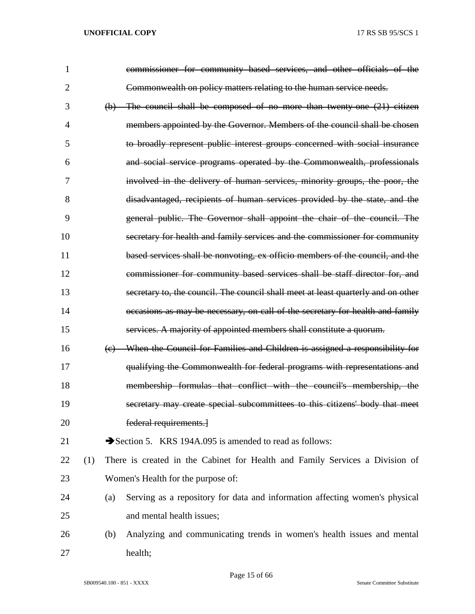| $\mathbf{1}$ |     |     | commissioner for community based services, and other officials of the             |
|--------------|-----|-----|-----------------------------------------------------------------------------------|
| 2            |     |     | Commonwealth on policy matters relating to the human service needs.               |
| 3            |     |     | $(b)$ The council shall be composed of no more than twenty one $(21)$ citizen     |
| 4            |     |     | members appointed by the Governor. Members of the council shall be chosen         |
| 5            |     |     | to broadly represent public interest groups concerned with social insurance       |
| 6            |     |     | and social service programs operated by the Commonwealth, professionals           |
| 7            |     |     | involved in the delivery of human services, minority groups, the poor, the        |
| 8            |     |     | disadvantaged, recipients of human services provided by the state, and the        |
| 9            |     |     | general public. The Governor shall appoint the chair of the council. The          |
| 10           |     |     | secretary for health and family services and the commissioner for community       |
| 11           |     |     | based services shall be nonvoting, ex officio members of the council, and the     |
| 12           |     |     | commissioner for community based services shall be staff director for, and        |
| 13           |     |     | secretary to, the council. The council shall meet at least quarterly and on other |
| 14           |     |     | occasions as may be necessary, on call of the secretary for health and family     |
| 15           |     |     | services. A majority of appointed members shall constitute a quorum.              |
| 16           |     |     | When the Council for Families and Children is assigned a responsibility for       |
| 17           |     |     | qualifying the Commonwealth for federal programs with representations and         |
| 18           |     |     | membership formulas that conflict with the council's membership, the              |
| 19           |     |     | secretary may create special subcommittees to this citizens' body that meet       |
| 20           |     |     | federal requirements.                                                             |
| 21           |     |     | Section 5. KRS 194A.095 is amended to read as follows:                            |
| 22           | (1) |     | There is created in the Cabinet for Health and Family Services a Division of      |
| 23           |     |     | Women's Health for the purpose of:                                                |
| 24           |     | (a) | Serving as a repository for data and information affecting women's physical       |
| 25           |     |     | and mental health issues;                                                         |
| 26           |     | (b) | Analyzing and communicating trends in women's health issues and mental            |
| 27           |     |     | health;                                                                           |

Page 15 of 66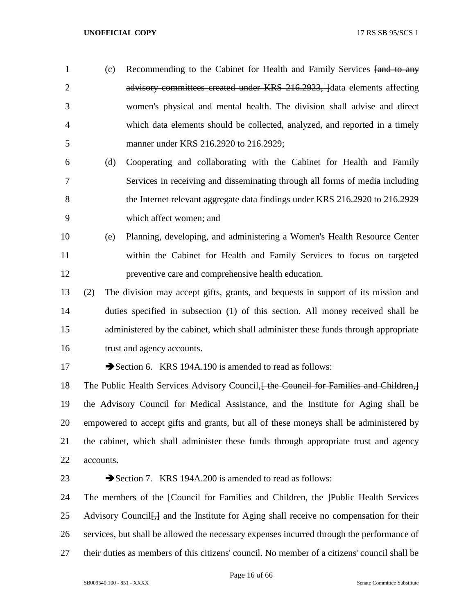- 1 (c) Recommending to the Cabinet for Health and Family Services [and to any 2 advisory committees created under KRS 216.2923, lata elements affecting women's physical and mental health. The division shall advise and direct which data elements should be collected, analyzed, and reported in a timely manner under KRS 216.2920 to 216.2929;
- (d) Cooperating and collaborating with the Cabinet for Health and Family Services in receiving and disseminating through all forms of media including the Internet relevant aggregate data findings under KRS 216.2920 to 216.2929 which affect women; and
- (e) Planning, developing, and administering a Women's Health Resource Center within the Cabinet for Health and Family Services to focus on targeted preventive care and comprehensive health education.
- (2) The division may accept gifts, grants, and bequests in support of its mission and duties specified in subsection (1) of this section. All money received shall be administered by the cabinet, which shall administer these funds through appropriate trust and agency accounts.
- 

17 Section 6. KRS 194A.190 is amended to read as follows:

18 The Public Health Services Advisory Council, the Council for Families and Children, the Advisory Council for Medical Assistance, and the Institute for Aging shall be empowered to accept gifts and grants, but all of these moneys shall be administered by the cabinet, which shall administer these funds through appropriate trust and agency accounts.

# 23 Section 7. KRS 194A.200 is amended to read as follows:

24 The members of the <del>[Council for Families and Children, the ]</del>Public Health Services 25 Advisory Council <del>[,]</del> and the Institute for Aging shall receive no compensation for their services, but shall be allowed the necessary expenses incurred through the performance of their duties as members of this citizens' council. No member of a citizens' council shall be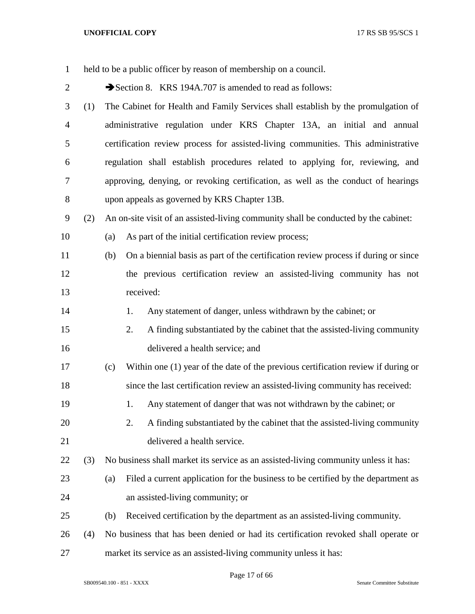| $\mathbf{1}$   |     | held to be a public officer by reason of membership on a council.                         |
|----------------|-----|-------------------------------------------------------------------------------------------|
| $\overline{2}$ |     | Section 8. KRS 194A.707 is amended to read as follows:                                    |
| 3              | (1) | The Cabinet for Health and Family Services shall establish by the promulgation of         |
| $\overline{4}$ |     | administrative regulation under KRS Chapter 13A, an initial and annual                    |
| 5              |     | certification review process for assisted-living communities. This administrative         |
| 6              |     | regulation shall establish procedures related to applying for, reviewing, and             |
| 7              |     | approving, denying, or revoking certification, as well as the conduct of hearings         |
| $8\,$          |     | upon appeals as governed by KRS Chapter 13B.                                              |
| 9              | (2) | An on-site visit of an assisted-living community shall be conducted by the cabinet:       |
| 10             |     | As part of the initial certification review process;<br>(a)                               |
| 11             |     | On a biennial basis as part of the certification review process if during or since<br>(b) |
| 12             |     | the previous certification review an assisted-living community has not                    |
| 13             |     | received:                                                                                 |
| 14             |     | Any statement of danger, unless withdrawn by the cabinet; or<br>1.                        |
| 15             |     | A finding substantiated by the cabinet that the assisted-living community<br>2.           |
| 16             |     | delivered a health service; and                                                           |
| 17             |     | Within one (1) year of the date of the previous certification review if during or<br>(c)  |
| 18             |     | since the last certification review an assisted-living community has received:            |
| 19             |     | Any statement of danger that was not withdrawn by the cabinet; or<br>1.                   |
| 20             |     | 2.<br>A finding substantiated by the cabinet that the assisted-living community           |
| 21             |     | delivered a health service.                                                               |
| 22             | (3) | No business shall market its service as an assisted-living community unless it has:       |
| 23             |     | Filed a current application for the business to be certified by the department as<br>(a)  |
| 24             |     | an assisted-living community; or                                                          |
| 25             |     | Received certification by the department as an assisted-living community.<br>(b)          |
| 26             | (4) | No business that has been denied or had its certification revoked shall operate or        |
| 27             |     | market its service as an assisted-living community unless it has:                         |

Page 17 of 66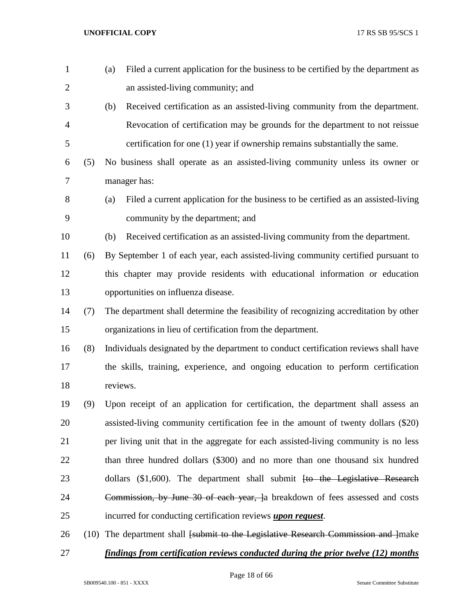| $\mathbf{1}$   |     | (a)          | Filed a current application for the business to be certified by the department as                |
|----------------|-----|--------------|--------------------------------------------------------------------------------------------------|
| $\overline{2}$ |     |              | an assisted-living community; and                                                                |
| 3              |     | (b)          | Received certification as an assisted-living community from the department.                      |
| $\overline{4}$ |     |              | Revocation of certification may be grounds for the department to not reissue                     |
| 5              |     |              | certification for one (1) year if ownership remains substantially the same.                      |
| 6              | (5) |              | No business shall operate as an assisted-living community unless its owner or                    |
| $\overline{7}$ |     | manager has: |                                                                                                  |
| $8\,$          |     | (a)          | Filed a current application for the business to be certified as an assisted-living               |
| 9              |     |              | community by the department; and                                                                 |
| 10             |     | (b)          | Received certification as an assisted-living community from the department.                      |
| 11             | (6) |              | By September 1 of each year, each assisted-living community certified pursuant to                |
| 12             |     |              | this chapter may provide residents with educational information or education                     |
| 13             |     |              | opportunities on influenza disease.                                                              |
| 14             | (7) |              | The department shall determine the feasibility of recognizing accreditation by other             |
| 15             |     |              | organizations in lieu of certification from the department.                                      |
| 16             | (8) |              | Individuals designated by the department to conduct certification reviews shall have             |
| 17             |     |              | the skills, training, experience, and ongoing education to perform certification                 |
| 18             |     | reviews.     |                                                                                                  |
| 19             | (9) |              | Upon receipt of an application for certification, the department shall assess an                 |
| 20             |     |              | assisted-living community certification fee in the amount of twenty dollars (\$20)               |
| 21             |     |              | per living unit that in the aggregate for each assisted-living community is no less              |
| 22             |     |              | than three hundred dollars (\$300) and no more than one thousand six hundred                     |
| 23             |     |              | dollars $(\$1,600)$ . The department shall submit $[to$ the Legislative Research                 |
| 24             |     |              | Commission, by June 30 of each year, a breakdown of fees assessed and costs                      |
| 25             |     |              | incurred for conducting certification reviews <i>upon request</i> .                              |
| 26             |     |              | $(10)$ The department shall <del>[submit to the Legislative Research Commission and ]</del> make |
| 27             |     |              | findings from certification reviews conducted during the prior twelve (12) months                |

Page 18 of 66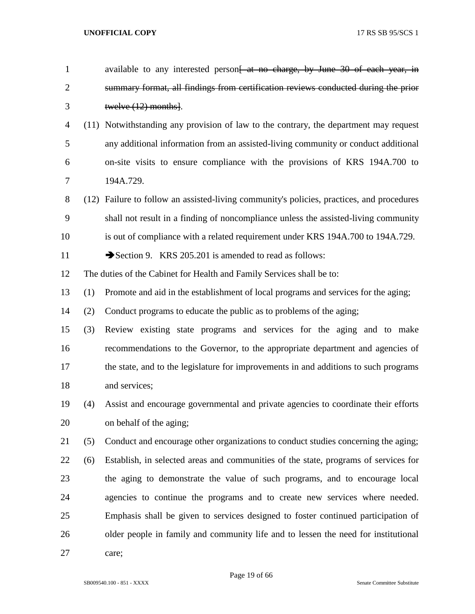| $\mathbf{1}$   |     | available to any interested person <del>[ at no charge, by June 30 of each year, in</del> |
|----------------|-----|-------------------------------------------------------------------------------------------|
| $\overline{2}$ |     | summary format, all findings from certification reviews conducted during the prior        |
| 3              |     | twelve $(12)$ months.                                                                     |
| 4              |     | (11) Notwithstanding any provision of law to the contrary, the department may request     |
| 5              |     | any additional information from an assisted-living community or conduct additional        |
| 6              |     | on-site visits to ensure compliance with the provisions of KRS 194A.700 to                |
| 7              |     | 194A.729.                                                                                 |
| 8              |     | (12) Failure to follow an assisted-living community's policies, practices, and procedures |
| 9              |     | shall not result in a finding of noncompliance unless the assisted-living community       |
| 10             |     | is out of compliance with a related requirement under KRS 194A.700 to 194A.729.           |
| 11             |     | Section 9. KRS 205.201 is amended to read as follows:                                     |
| 12             |     | The duties of the Cabinet for Health and Family Services shall be to:                     |
| 13             | (1) | Promote and aid in the establishment of local programs and services for the aging;        |
| 14             | (2) | Conduct programs to educate the public as to problems of the aging;                       |
| 15             | (3) | Review existing state programs and services for the aging and to make                     |
| 16             |     | recommendations to the Governor, to the appropriate department and agencies of            |
| 17             |     | the state, and to the legislature for improvements in and additions to such programs      |
| 18             |     | and services;                                                                             |
| 19             | (4) | Assist and encourage governmental and private agencies to coordinate their efforts        |
| 20             |     | on behalf of the aging;                                                                   |
| 21             | (5) | Conduct and encourage other organizations to conduct studies concerning the aging;        |
| 22             | (6) | Establish, in selected areas and communities of the state, programs of services for       |
| 23             |     | the aging to demonstrate the value of such programs, and to encourage local               |
| 24             |     | agencies to continue the programs and to create new services where needed.                |
| 25             |     | Emphasis shall be given to services designed to foster continued participation of         |
| 26             |     | older people in family and community life and to lessen the need for institutional        |
| 27             |     | care;                                                                                     |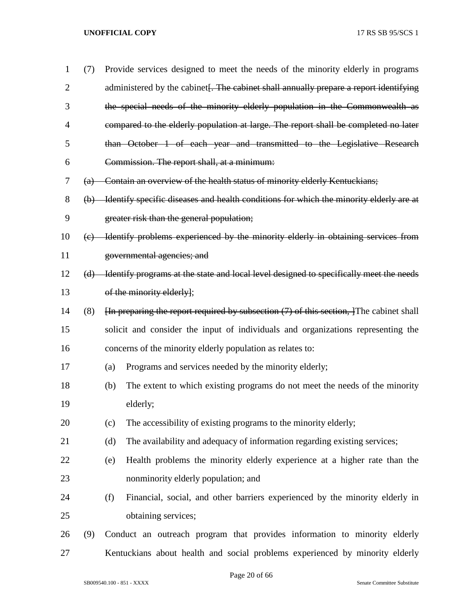| $\mathbf{1}$   | (7) |     | Provide services designed to meet the needs of the minority elderly in programs                                  |
|----------------|-----|-----|------------------------------------------------------------------------------------------------------------------|
| $\overline{2}$ |     |     | administered by the cabinet. The cabinet shall annually prepare a report identifying                             |
| 3              |     |     | the special needs of the minority elderly population in the Commonwealth as                                      |
| 4              |     |     | compared to the elderly population at large. The report shall be completed no later                              |
| 5              |     |     | than October 1 of each year and transmitted to the Legislative Research                                          |
| 6              |     |     | Commission. The report shall, at a minimum:                                                                      |
| 7              |     |     | (a) Contain an overview of the health status of minority elderly Kentuckians;                                    |
| 8              |     |     | (b) Identify specific diseases and health conditions for which the minority elderly are at                       |
| 9              |     |     | greater risk than the general population;                                                                        |
| 10             |     |     | (c) Identify problems experienced by the minority elderly in obtaining services from                             |
| 11             |     |     | governmental agencies; and                                                                                       |
| 12             |     |     | (d) Identify programs at the state and local level designed to specifically meet the needs                       |
| 13             |     |     | of the minority elderly];                                                                                        |
| 14             | (8) |     | $\overline{h}$ preparing the report required by subsection (7) of this section, $\overline{f}$ The cabinet shall |
| 15             |     |     | solicit and consider the input of individuals and organizations representing the                                 |
| 16             |     |     | concerns of the minority elderly population as relates to:                                                       |
| 17             |     | (a) | Programs and services needed by the minority elderly;                                                            |
| 18             |     | (b) | The extent to which existing programs do not meet the needs of the minority                                      |
| 19             |     |     | elderly;                                                                                                         |
| 20             |     | (c) | The accessibility of existing programs to the minority elderly;                                                  |
| 21             |     | (d) | The availability and adequacy of information regarding existing services;                                        |
| 22             |     | (e) | Health problems the minority elderly experience at a higher rate than the                                        |
| 23             |     |     | nonminority elderly population; and                                                                              |
| 24             |     | (f) | Financial, social, and other barriers experienced by the minority elderly in                                     |
| 25             |     |     | obtaining services;                                                                                              |
| 26             | (9) |     | Conduct an outreach program that provides information to minority elderly                                        |
| 27             |     |     | Kentuckians about health and social problems experienced by minority elderly                                     |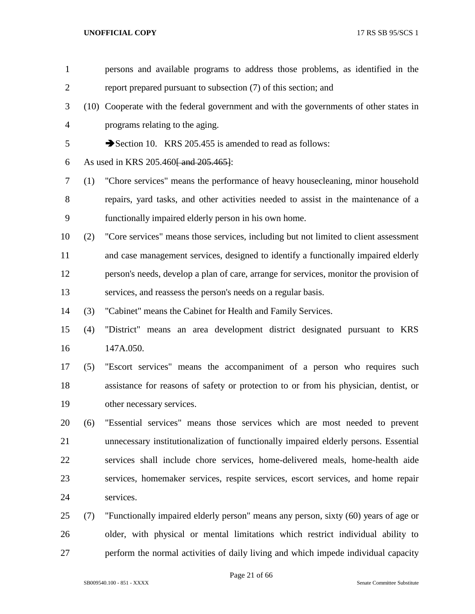| $\mathbf{1}$   |     | persons and available programs to address those problems, as identified in the         |
|----------------|-----|----------------------------------------------------------------------------------------|
| $\overline{2}$ |     | report prepared pursuant to subsection (7) of this section; and                        |
| 3              |     | (10) Cooperate with the federal government and with the governments of other states in |
| $\overline{4}$ |     | programs relating to the aging.                                                        |
| 5              |     | Section 10. KRS 205.455 is amended to read as follows:                                 |
| 6              |     | As used in KRS 205.460 and 205.465.                                                    |
| 7              | (1) | "Chore services" means the performance of heavy housecleaning, minor household         |
| $8\,$          |     | repairs, yard tasks, and other activities needed to assist in the maintenance of a     |
| 9              |     | functionally impaired elderly person in his own home.                                  |
| 10             | (2) | "Core services" means those services, including but not limited to client assessment   |
| 11             |     | and case management services, designed to identify a functionally impaired elderly     |
| 12             |     | person's needs, develop a plan of care, arrange for services, monitor the provision of |
| 13             |     | services, and reassess the person's needs on a regular basis.                          |
| 14             | (3) | "Cabinet" means the Cabinet for Health and Family Services.                            |
| 15             | (4) | "District" means an area development district designated pursuant to KRS               |
| 16             |     | 147A.050.                                                                              |
| 17             | (5) | "Escort services" means the accompaniment of a person who requires such                |
| 18             |     | assistance for reasons of safety or protection to or from his physician, dentist, or   |
| 19             |     | other necessary services.                                                              |
| 20             | (6) | "Essential services" means those services which are most needed to prevent             |
| 21             |     | unnecessary institutionalization of functionally impaired elderly persons. Essential   |
| 22             |     | services shall include chore services, home-delivered meals, home-health aide          |
| 23             |     | services, homemaker services, respite services, escort services, and home repair       |
| 24             |     | services.                                                                              |
| 25             | (7) | "Functionally impaired elderly person" means any person, sixty (60) years of age or    |
| 26             |     | older, with physical or mental limitations which restrict individual ability to        |
| 27             |     | perform the normal activities of daily living and which impede individual capacity     |
|                |     |                                                                                        |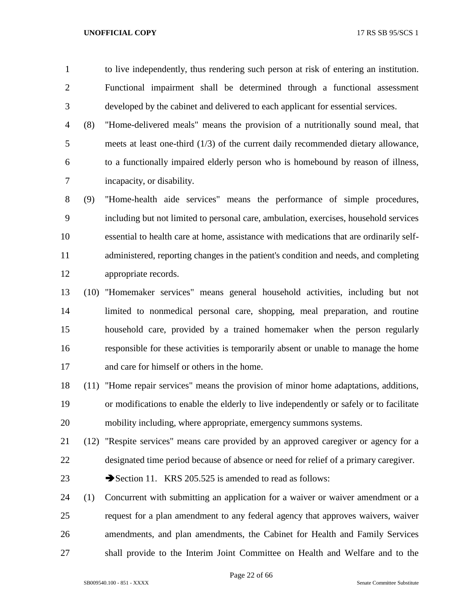to live independently, thus rendering such person at risk of entering an institution. Functional impairment shall be determined through a functional assessment developed by the cabinet and delivered to each applicant for essential services.

 (8) "Home-delivered meals" means the provision of a nutritionally sound meal, that meets at least one-third (1/3) of the current daily recommended dietary allowance, to a functionally impaired elderly person who is homebound by reason of illness, incapacity, or disability.

 (9) "Home-health aide services" means the performance of simple procedures, including but not limited to personal care, ambulation, exercises, household services essential to health care at home, assistance with medications that are ordinarily self- administered, reporting changes in the patient's condition and needs, and completing appropriate records.

 (10) "Homemaker services" means general household activities, including but not limited to nonmedical personal care, shopping, meal preparation, and routine household care, provided by a trained homemaker when the person regularly responsible for these activities is temporarily absent or unable to manage the home and care for himself or others in the home.

 (11) "Home repair services" means the provision of minor home adaptations, additions, or modifications to enable the elderly to live independently or safely or to facilitate mobility including, where appropriate, emergency summons systems.

 (12) "Respite services" means care provided by an approved caregiver or agency for a designated time period because of absence or need for relief of a primary caregiver.

23 Section 11. KRS 205.525 is amended to read as follows:

 (1) Concurrent with submitting an application for a waiver or waiver amendment or a request for a plan amendment to any federal agency that approves waivers, waiver amendments, and plan amendments, the Cabinet for Health and Family Services shall provide to the Interim Joint Committee on Health and Welfare and to the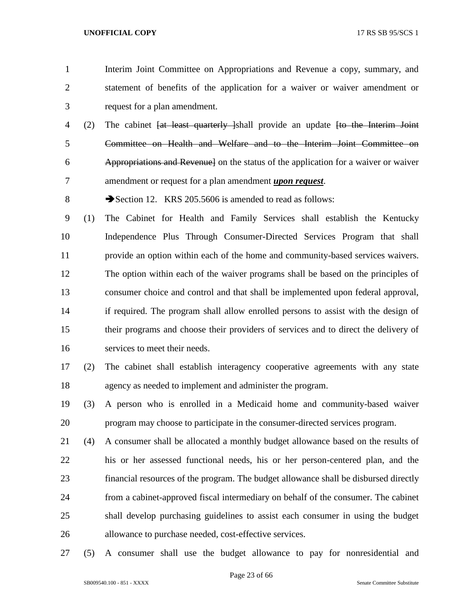- Interim Joint Committee on Appropriations and Revenue a copy, summary, and statement of benefits of the application for a waiver or waiver amendment or request for a plan amendment.
- 4 (2) The cabinet <del>[at least quarterly ]</del>shall provide an update <del>[to the Interim Joint</del>] Committee on Health and Welfare and to the Interim Joint Committee on Appropriations and Revenue] on the status of the application for a waiver or waiver amendment or request for a plan amendment *upon request*.
- 8 Section 12. KRS 205.5606 is amended to read as follows:

 (1) The Cabinet for Health and Family Services shall establish the Kentucky Independence Plus Through Consumer-Directed Services Program that shall provide an option within each of the home and community-based services waivers. The option within each of the waiver programs shall be based on the principles of consumer choice and control and that shall be implemented upon federal approval, if required. The program shall allow enrolled persons to assist with the design of their programs and choose their providers of services and to direct the delivery of services to meet their needs.

- (2) The cabinet shall establish interagency cooperative agreements with any state agency as needed to implement and administer the program.
- (3) A person who is enrolled in a Medicaid home and community-based waiver program may choose to participate in the consumer-directed services program.
- (4) A consumer shall be allocated a monthly budget allowance based on the results of his or her assessed functional needs, his or her person-centered plan, and the financial resources of the program. The budget allowance shall be disbursed directly from a cabinet-approved fiscal intermediary on behalf of the consumer. The cabinet shall develop purchasing guidelines to assist each consumer in using the budget allowance to purchase needed, cost-effective services.
- (5) A consumer shall use the budget allowance to pay for nonresidential and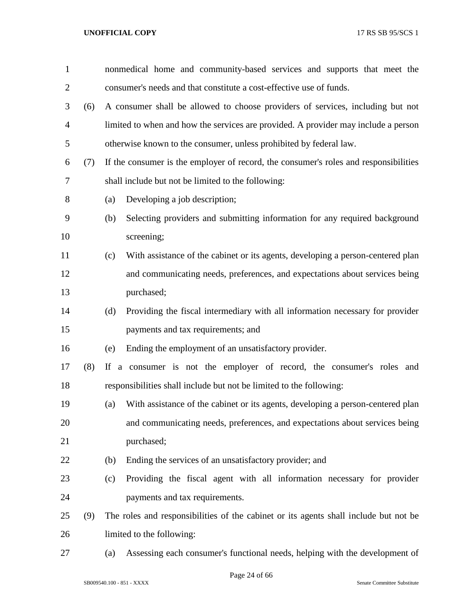| $\mathbf{1}$   |     | nonmedical home and community-based services and supports that meet the                |
|----------------|-----|----------------------------------------------------------------------------------------|
| $\overline{2}$ |     | consumer's needs and that constitute a cost-effective use of funds.                    |
| 3              | (6) | A consumer shall be allowed to choose providers of services, including but not         |
| $\overline{4}$ |     | limited to when and how the services are provided. A provider may include a person     |
| 5              |     | otherwise known to the consumer, unless prohibited by federal law.                     |
| 6              | (7) | If the consumer is the employer of record, the consumer's roles and responsibilities   |
| 7              |     | shall include but not be limited to the following:                                     |
| 8              |     | Developing a job description;<br>(a)                                                   |
| 9              |     | Selecting providers and submitting information for any required background<br>(b)      |
| 10             |     | screening;                                                                             |
| 11             |     | With assistance of the cabinet or its agents, developing a person-centered plan<br>(c) |
| 12             |     | and communicating needs, preferences, and expectations about services being            |
| 13             |     | purchased;                                                                             |
| 14             |     | Providing the fiscal intermediary with all information necessary for provider<br>(d)   |
| 15             |     | payments and tax requirements; and                                                     |
| 16             |     | Ending the employment of an unsatisfactory provider.<br>(e)                            |
| 17             | (8) | If a consumer is not the employer of record, the consumer's roles and                  |
| 18             |     | responsibilities shall include but not be limited to the following:                    |
| 19             |     | With assistance of the cabinet or its agents, developing a person-centered plan<br>(a) |
| 20             |     | and communicating needs, preferences, and expectations about services being            |
| 21             |     | purchased;                                                                             |
| 22             |     | (b)<br>Ending the services of an unsatisfactory provider; and                          |
| 23             |     | Providing the fiscal agent with all information necessary for provider<br>(c)          |
| 24             |     | payments and tax requirements.                                                         |
| 25             | (9) | The roles and responsibilities of the cabinet or its agents shall include but not be   |
| 26             |     | limited to the following:                                                              |
| 27             |     | Assessing each consumer's functional needs, helping with the development of<br>(a)     |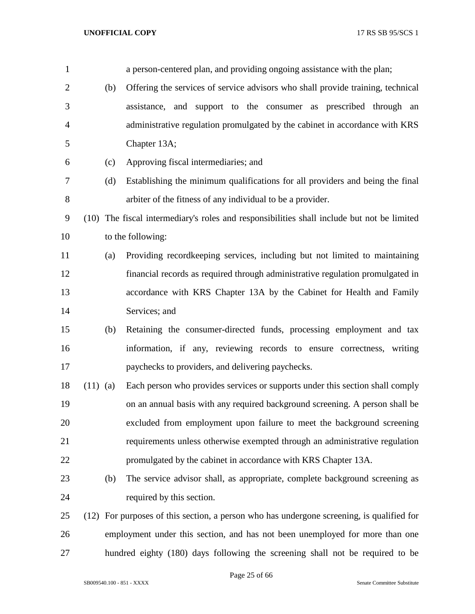| $\mathbf{1}$   |            | a person-centered plan, and providing ongoing assistance with the plan;                    |
|----------------|------------|--------------------------------------------------------------------------------------------|
| $\overline{2}$ | (b)        | Offering the services of service advisors who shall provide training, technical            |
| 3              |            | assistance, and support to the consumer as prescribed through an                           |
| 4              |            | administrative regulation promulgated by the cabinet in accordance with KRS                |
| 5              |            | Chapter 13A;                                                                               |
| 6              | (c)        | Approving fiscal intermediaries; and                                                       |
| 7              | (d)        | Establishing the minimum qualifications for all providers and being the final              |
| 8              |            | arbiter of the fitness of any individual to be a provider.                                 |
| 9              |            | (10) The fiscal intermediary's roles and responsibilities shall include but not be limited |
| 10             |            | to the following:                                                                          |
| 11             | (a)        | Providing recordkeeping services, including but not limited to maintaining                 |
| 12             |            | financial records as required through administrative regulation promulgated in             |
| 13             |            | accordance with KRS Chapter 13A by the Cabinet for Health and Family                       |
| 14             |            | Services; and                                                                              |
| 15             | (b)        | Retaining the consumer-directed funds, processing employment and tax                       |
| 16             |            | information, if any, reviewing records to ensure correctness, writing                      |
| 17             |            | paychecks to providers, and delivering paychecks.                                          |
| 18             | $(11)$ (a) | Each person who provides services or supports under this section shall comply              |
| 19             |            | on an annual basis with any required background screening. A person shall be               |
| 20             |            | excluded from employment upon failure to meet the background screening                     |
| 21             |            | requirements unless otherwise exempted through an administrative regulation                |
| 22             |            | promulgated by the cabinet in accordance with KRS Chapter 13A.                             |
| 23             | (b)        | The service advisor shall, as appropriate, complete background screening as                |
| 24             |            | required by this section.                                                                  |
| 25             | (12)       | For purposes of this section, a person who has undergone screening, is qualified for       |
| 26             |            | employment under this section, and has not been unemployed for more than one               |
| 27             |            | hundred eighty (180) days following the screening shall not be required to be              |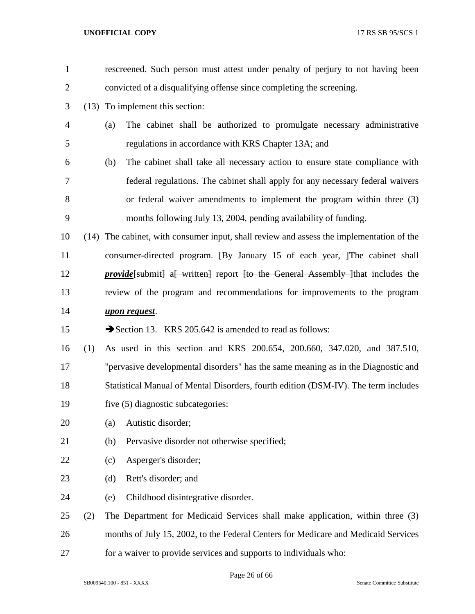| $\mathbf{1}$   |     | rescreened. Such person must attest under penalty of perjury to not having been                |
|----------------|-----|------------------------------------------------------------------------------------------------|
| $\mathbf{2}$   |     | convicted of a disqualifying offense since completing the screening.                           |
| 3              |     | (13) To implement this section:                                                                |
| $\overline{4}$ |     | The cabinet shall be authorized to promulgate necessary administrative<br>(a)                  |
| 5              |     | regulations in accordance with KRS Chapter 13A; and                                            |
| 6              |     | The cabinet shall take all necessary action to ensure state compliance with<br>(b)             |
| 7              |     | federal regulations. The cabinet shall apply for any necessary federal waivers                 |
| 8              |     | or federal waiver amendments to implement the program within three (3)                         |
| 9              |     | months following July 13, 2004, pending availability of funding.                               |
| 10             |     | (14) The cabinet, with consumer input, shall review and assess the implementation of the       |
| 11             |     | consumer-directed program. <del>[By January 15 of each year, ]</del> The cabinet shall         |
| 12             |     | <i>provide</i> [submit] a written general content for the General Assembly linest includes the |
| 13             |     | review of the program and recommendations for improvements to the program                      |
| 14             |     | upon request.                                                                                  |
| 15             |     | Section 13. KRS 205.642 is amended to read as follows:                                         |
| 16             | (1) | As used in this section and KRS 200.654, 200.660, 347.020, and 387.510,                        |
| 17             |     | "pervasive developmental disorders" has the same meaning as in the Diagnostic and              |
| 18             |     | Statistical Manual of Mental Disorders, fourth edition (DSM-IV). The term includes             |
| 19             |     | five (5) diagnostic subcategories:                                                             |
| 20             |     | Autistic disorder;<br>(a)                                                                      |
| 21             |     | Pervasive disorder not otherwise specified;<br>(b)                                             |
| 22             |     | Asperger's disorder;<br>(c)                                                                    |
| 23             |     | Rett's disorder; and<br>(d)                                                                    |
| 24             |     | Childhood disintegrative disorder.<br>(e)                                                      |
| 25             | (2) | The Department for Medicaid Services shall make application, within three (3)                  |
| 26             |     | months of July 15, 2002, to the Federal Centers for Medicare and Medicaid Services             |
| 27             |     | for a waiver to provide services and supports to individuals who:                              |

Page 26 of 66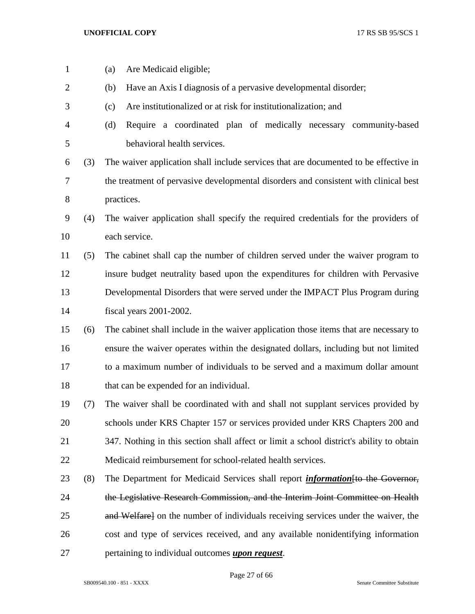| $\mathbf{1}$   |     | Are Medicaid eligible;<br>(a)                                                            |
|----------------|-----|------------------------------------------------------------------------------------------|
| $\overline{2}$ |     | Have an Axis I diagnosis of a pervasive developmental disorder;<br>(b)                   |
| 3              |     | Are institutionalized or at risk for institutionalization; and<br>(c)                    |
| 4              |     | Require a coordinated plan of medically necessary community-based<br>(d)                 |
| 5              |     | behavioral health services.                                                              |
| 6              | (3) | The waiver application shall include services that are documented to be effective in     |
| 7              |     | the treatment of pervasive developmental disorders and consistent with clinical best     |
| $8\,$          |     | practices.                                                                               |
| 9              | (4) | The waiver application shall specify the required credentials for the providers of       |
| 10             |     | each service.                                                                            |
| 11             | (5) | The cabinet shall cap the number of children served under the waiver program to          |
| 12             |     | insure budget neutrality based upon the expenditures for children with Pervasive         |
| 13             |     | Developmental Disorders that were served under the IMPACT Plus Program during            |
| 14             |     | fiscal years 2001-2002.                                                                  |
| 15             | (6) | The cabinet shall include in the waiver application those items that are necessary to    |
| 16             |     | ensure the waiver operates within the designated dollars, including but not limited      |
| 17             |     | to a maximum number of individuals to be served and a maximum dollar amount              |
| 18             |     | that can be expended for an individual.                                                  |
| 19             | (7) | The waiver shall be coordinated with and shall not supplant services provided by         |
| 20             |     | schools under KRS Chapter 157 or services provided under KRS Chapters 200 and            |
| 21             |     | 347. Nothing in this section shall affect or limit a school district's ability to obtain |
| 22             |     | Medicaid reimbursement for school-related health services.                               |
| 23             | (8) | The Department for Medicaid Services shall report <i>information</i> to the Governor,    |
| 24             |     | the Legislative Research Commission, and the Interim Joint Committee on Health           |
| 25             |     | and Welfare] on the number of individuals receiving services under the waiver, the       |
| 26             |     | cost and type of services received, and any available nonidentifying information         |
| 27             |     | pertaining to individual outcomes <i>upon request</i> .                                  |

Page 27 of 66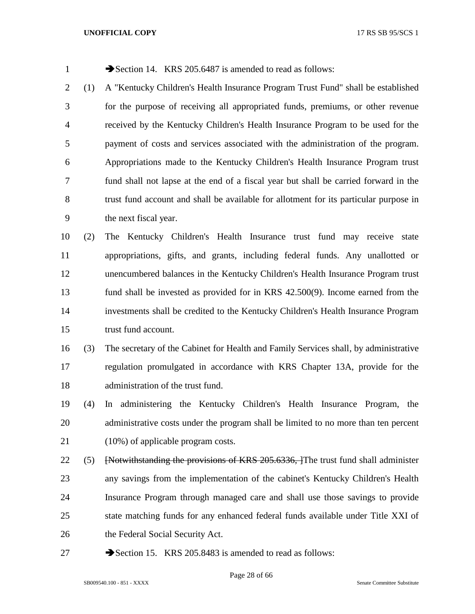| $\mathbf{1}$   |     | Section 14. KRS 205.6487 is amended to read as follows:                               |
|----------------|-----|---------------------------------------------------------------------------------------|
| $\overline{c}$ | (1) | A "Kentucky Children's Health Insurance Program Trust Fund" shall be established      |
| 3              |     | for the purpose of receiving all appropriated funds, premiums, or other revenue       |
| 4              |     | received by the Kentucky Children's Health Insurance Program to be used for the       |
| 5              |     | payment of costs and services associated with the administration of the program.      |
| 6              |     | Appropriations made to the Kentucky Children's Health Insurance Program trust         |
| 7              |     | fund shall not lapse at the end of a fiscal year but shall be carried forward in the  |
| 8              |     | trust fund account and shall be available for allotment for its particular purpose in |
| 9              |     | the next fiscal year.                                                                 |
| 10             | (2) | The Kentucky Children's Health Insurance trust fund may receive state                 |
| 11             |     | appropriations, gifts, and grants, including federal funds. Any unallotted or         |
| 12             |     | unencumbered balances in the Kentucky Children's Health Insurance Program trust       |
| 13             |     | fund shall be invested as provided for in KRS 42.500(9). Income earned from the       |
| 14             |     | investments shall be credited to the Kentucky Children's Health Insurance Program     |
| 15             |     | trust fund account.                                                                   |
| 16             | (3) | The secretary of the Cabinet for Health and Family Services shall, by administrative  |
| 17             |     | regulation promulgated in accordance with KRS Chapter 13A, provide for the            |
| 18             |     | administration of the trust fund.                                                     |
| 19             | (4) | In administering the Kentucky Children's Health Insurance Program, the                |
| 20             |     | administrative costs under the program shall be limited to no more than ten percent   |
| 21             |     | $(10\%)$ of applicable program costs.                                                 |
| 22             | (5) | [Notwithstanding the provisions of KRS 205.6336, The trust fund shall administer      |
| 23             |     | any savings from the implementation of the cabinet's Kentucky Children's Health       |
| 24             |     | Insurance Program through managed care and shall use those savings to provide         |
| 25             |     | state matching funds for any enhanced federal funds available under Title XXI of      |
| 26             |     | the Federal Social Security Act.                                                      |
| 27             |     | Section 15. KRS 205.8483 is amended to read as follows:                               |

Page 28 of 66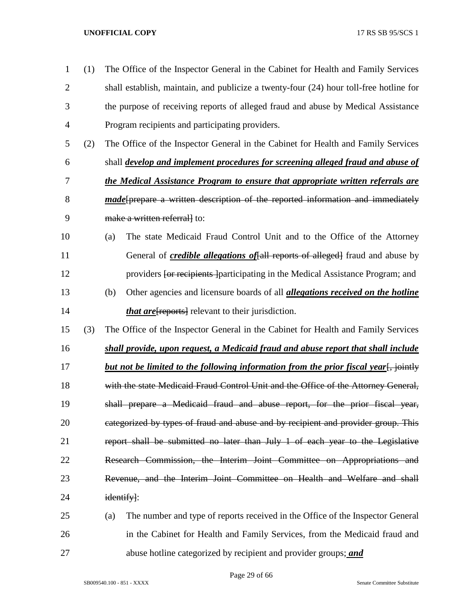| 1              | (1) | The Office of the Inspector General in the Cabinet for Health and Family Services            |
|----------------|-----|----------------------------------------------------------------------------------------------|
| $\overline{2}$ |     | shall establish, maintain, and publicize a twenty-four (24) hour toll-free hotline for       |
| 3              |     | the purpose of receiving reports of alleged fraud and abuse by Medical Assistance            |
| 4              |     | Program recipients and participating providers.                                              |
| 5              | (2) | The Office of the Inspector General in the Cabinet for Health and Family Services            |
| 6              |     | shall <i>develop and implement procedures for screening alleged fraud and abuse of</i>       |
| 7              |     | the Medical Assistance Program to ensure that appropriate written referrals are              |
| 8              |     | made[prepare a written description of the reported information and immediately               |
| 9              |     | make a written referrall to:                                                                 |
| 10             |     | The state Medicaid Fraud Control Unit and to the Office of the Attorney<br>(a)               |
| 11             |     | General of <i>credible allegations of</i> [all reports of alleged] fraud and abuse by        |
| 12             |     | providers for recipients participating in the Medical Assistance Program; and                |
| 13             |     | Other agencies and licensure boards of all <i>allegations received on the hotline</i><br>(b) |
| 14             |     | <i>that are</i> [reports] relevant to their jurisdiction.                                    |
| 15             | (3) | The Office of the Inspector General in the Cabinet for Health and Family Services            |
| 16             |     | shall provide, upon request, a Medicaid fraud and abuse report that shall include            |
| 17             |     | but not be limited to the following information from the prior fiscal year. jointly          |
| 18             |     | with the state Medicaid Fraud Control Unit and the Office of the Attorney General,           |
| 19             |     | shall prepare a Medicaid fraud and abuse report, for the prior fiscal year,                  |
| 20             |     | categorized by types of fraud and abuse and by recipient and provider group. This            |
| 21             |     | report shall be submitted no later than July 1 of each year to the Legislative               |
| 22             |     | Research Commission, the Interim Joint Committee on Appropriations and                       |
| 23             |     | Revenue, and the Interim Joint Committee on Health and Welfare and shall                     |
| 24             |     | identify]:                                                                                   |
| 25             |     | The number and type of reports received in the Office of the Inspector General<br>(a)        |
| 26             |     | in the Cabinet for Health and Family Services, from the Medicaid fraud and                   |
| 27             |     | abuse hotline categorized by recipient and provider groups; and                              |

Page 29 of 66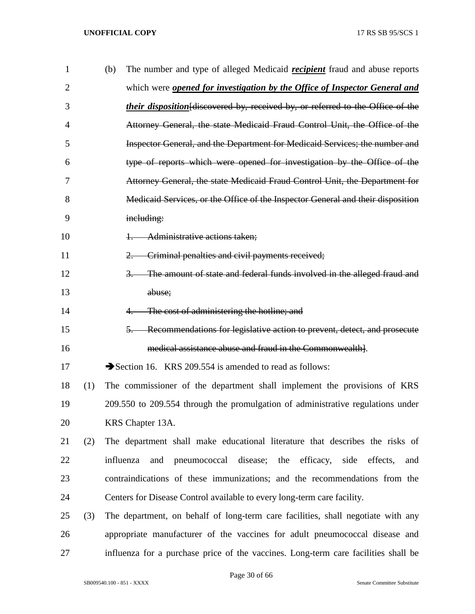| $\mathbf{1}$   |     | (b) | The number and type of alleged Medicaid <i>recipient</i> fraud and abuse reports       |
|----------------|-----|-----|----------------------------------------------------------------------------------------|
| $\overline{2}$ |     |     | which were <b>opened for investigation by the Office of Inspector General and</b>      |
| 3              |     |     | <i>their disposition</i> [discovered by, received by, or referred to the Office of the |
| 4              |     |     | Attorney General, the state Medicaid Fraud Control Unit, the Office of the             |
| 5              |     |     | Inspector General, and the Department for Medicaid Services; the number and            |
| 6              |     |     | type of reports which were opened for investigation by the Office of the               |
| 7              |     |     | Attorney General, the state Medicaid Fraud Control Unit, the Department for            |
| 8              |     |     | Medicaid Services, or the Office of the Inspector General and their disposition        |
| 9              |     |     | including:                                                                             |
| 10             |     |     | Administrative actions taken;<br>$+\frac{1}{2}$                                        |
| 11             |     |     | Criminal penalties and civil payments received;<br>$2-$                                |
| 12             |     |     | The amount of state and federal funds involved in the alleged fraud and<br>$3-$        |
| 13             |     |     | abuse;                                                                                 |
| 14             |     |     | The cost of administering the hotline; and<br>$4-$                                     |
| 15             |     |     | 5. Recommendations for legislative action to prevent, detect, and prosecute            |
| 16             |     |     | medical assistance abuse and fraud in the Commonwealth.                                |
| 17             |     |     | Section 16. KRS 209.554 is amended to read as follows:                                 |
| 18             | (1) |     | The commissioner of the department shall implement the provisions of KRS               |
| 19             |     |     | 209.550 to 209.554 through the promulgation of administrative regulations under        |
| 20             |     |     | KRS Chapter 13A.                                                                       |
| 21             | (2) |     | The department shall make educational literature that describes the risks of           |
| 22             |     |     | pneumococcal disease; the efficacy, side<br>influenza<br>and<br>effects,<br>and        |
| 23             |     |     | contraindications of these immunizations; and the recommendations from the             |
| 24             |     |     | Centers for Disease Control available to every long-term care facility.                |
| 25             | (3) |     | The department, on behalf of long-term care facilities, shall negotiate with any       |
| 26             |     |     | appropriate manufacturer of the vaccines for adult pneumococcal disease and            |
| 27             |     |     | influenza for a purchase price of the vaccines. Long-term care facilities shall be     |

Page 30 of 66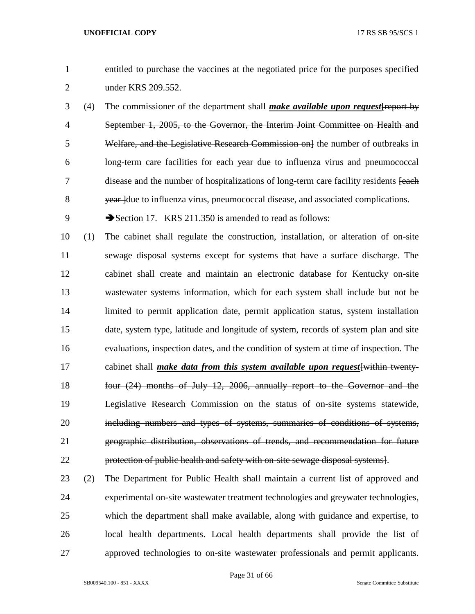- entitled to purchase the vaccines at the negotiated price for the purposes specified under KRS 209.552.
- (4) The commissioner of the department shall *make available upon request*[report by September 1, 2005, to the Governor, the Interim Joint Committee on Health and 5 Welfare, and the Legislative Research Commission on the number of outbreaks in long-term care facilities for each year due to influenza virus and pneumococcal 7 disease and the number of hospitalizations of long-term care facility residents [each] 8 wear due to influenza virus, pneumococcal disease, and associated complications.
- 9 Section 17. KRS 211.350 is amended to read as follows:
- (1) The cabinet shall regulate the construction, installation, or alteration of on-site sewage disposal systems except for systems that have a surface discharge. The cabinet shall create and maintain an electronic database for Kentucky on-site wastewater systems information, which for each system shall include but not be limited to permit application date, permit application status, system installation date, system type, latitude and longitude of system, records of system plan and site evaluations, inspection dates, and the condition of system at time of inspection. The cabinet shall *make data from this system available upon request*[within twenty- four (24) months of July 12, 2006, annually report to the Governor and the Legislative Research Commission on the status of on-site systems statewide, 20 including numbers and types of systems, summaries of conditions of systems, geographic distribution, observations of trends, and recommendation for future protection of public health and safety with on-site sewage disposal systems].
- (2) The Department for Public Health shall maintain a current list of approved and experimental on-site wastewater treatment technologies and greywater technologies, which the department shall make available, along with guidance and expertise, to local health departments. Local health departments shall provide the list of approved technologies to on-site wastewater professionals and permit applicants.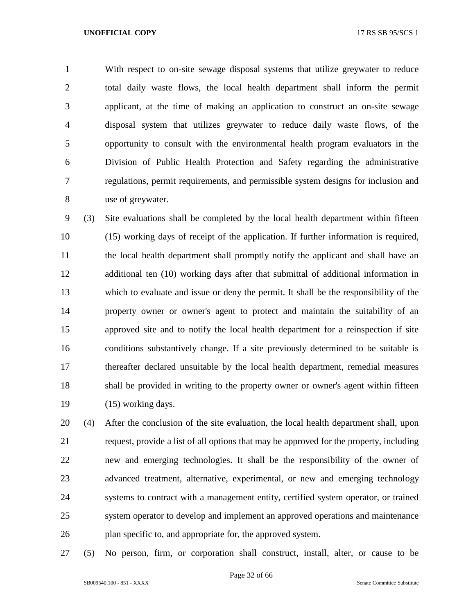With respect to on-site sewage disposal systems that utilize greywater to reduce total daily waste flows, the local health department shall inform the permit applicant, at the time of making an application to construct an on-site sewage disposal system that utilizes greywater to reduce daily waste flows, of the opportunity to consult with the environmental health program evaluators in the Division of Public Health Protection and Safety regarding the administrative regulations, permit requirements, and permissible system designs for inclusion and use of greywater.

 (3) Site evaluations shall be completed by the local health department within fifteen (15) working days of receipt of the application. If further information is required, the local health department shall promptly notify the applicant and shall have an additional ten (10) working days after that submittal of additional information in which to evaluate and issue or deny the permit. It shall be the responsibility of the property owner or owner's agent to protect and maintain the suitability of an approved site and to notify the local health department for a reinspection if site conditions substantively change. If a site previously determined to be suitable is thereafter declared unsuitable by the local health department, remedial measures 18 shall be provided in writing to the property owner or owner's agent within fifteen (15) working days.

 (4) After the conclusion of the site evaluation, the local health department shall, upon request, provide a list of all options that may be approved for the property, including new and emerging technologies. It shall be the responsibility of the owner of advanced treatment, alternative, experimental, or new and emerging technology systems to contract with a management entity, certified system operator, or trained system operator to develop and implement an approved operations and maintenance plan specific to, and appropriate for, the approved system.

(5) No person, firm, or corporation shall construct, install, alter, or cause to be

Page 32 of 66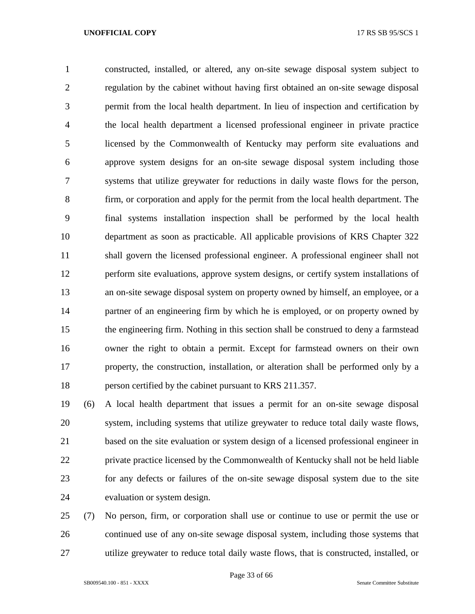constructed, installed, or altered, any on-site sewage disposal system subject to regulation by the cabinet without having first obtained an on-site sewage disposal permit from the local health department. In lieu of inspection and certification by the local health department a licensed professional engineer in private practice licensed by the Commonwealth of Kentucky may perform site evaluations and approve system designs for an on-site sewage disposal system including those systems that utilize greywater for reductions in daily waste flows for the person, firm, or corporation and apply for the permit from the local health department. The final systems installation inspection shall be performed by the local health department as soon as practicable. All applicable provisions of KRS Chapter 322 shall govern the licensed professional engineer. A professional engineer shall not perform site evaluations, approve system designs, or certify system installations of an on-site sewage disposal system on property owned by himself, an employee, or a partner of an engineering firm by which he is employed, or on property owned by the engineering firm. Nothing in this section shall be construed to deny a farmstead owner the right to obtain a permit. Except for farmstead owners on their own property, the construction, installation, or alteration shall be performed only by a person certified by the cabinet pursuant to KRS 211.357.

 (6) A local health department that issues a permit for an on-site sewage disposal system, including systems that utilize greywater to reduce total daily waste flows, based on the site evaluation or system design of a licensed professional engineer in private practice licensed by the Commonwealth of Kentucky shall not be held liable for any defects or failures of the on-site sewage disposal system due to the site evaluation or system design.

 (7) No person, firm, or corporation shall use or continue to use or permit the use or continued use of any on-site sewage disposal system, including those systems that utilize greywater to reduce total daily waste flows, that is constructed, installed, or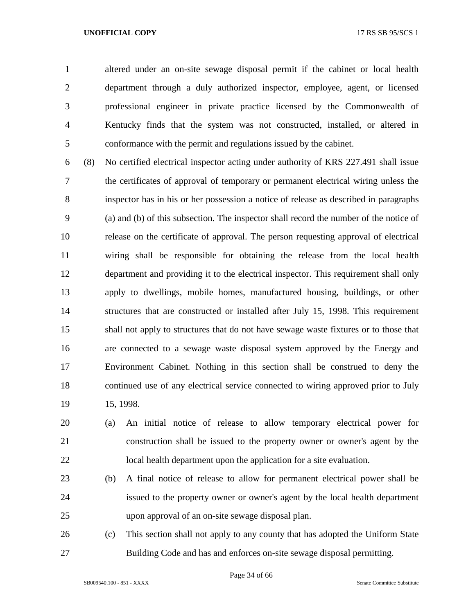altered under an on-site sewage disposal permit if the cabinet or local health department through a duly authorized inspector, employee, agent, or licensed professional engineer in private practice licensed by the Commonwealth of Kentucky finds that the system was not constructed, installed, or altered in conformance with the permit and regulations issued by the cabinet.

 (8) No certified electrical inspector acting under authority of KRS 227.491 shall issue the certificates of approval of temporary or permanent electrical wiring unless the inspector has in his or her possession a notice of release as described in paragraphs (a) and (b) of this subsection. The inspector shall record the number of the notice of release on the certificate of approval. The person requesting approval of electrical wiring shall be responsible for obtaining the release from the local health department and providing it to the electrical inspector. This requirement shall only apply to dwellings, mobile homes, manufactured housing, buildings, or other structures that are constructed or installed after July 15, 1998. This requirement shall not apply to structures that do not have sewage waste fixtures or to those that are connected to a sewage waste disposal system approved by the Energy and Environment Cabinet. Nothing in this section shall be construed to deny the continued use of any electrical service connected to wiring approved prior to July 15, 1998.

 (a) An initial notice of release to allow temporary electrical power for construction shall be issued to the property owner or owner's agent by the local health department upon the application for a site evaluation.

- (b) A final notice of release to allow for permanent electrical power shall be issued to the property owner or owner's agent by the local health department upon approval of an on-site sewage disposal plan.
- (c) This section shall not apply to any county that has adopted the Uniform State Building Code and has and enforces on-site sewage disposal permitting.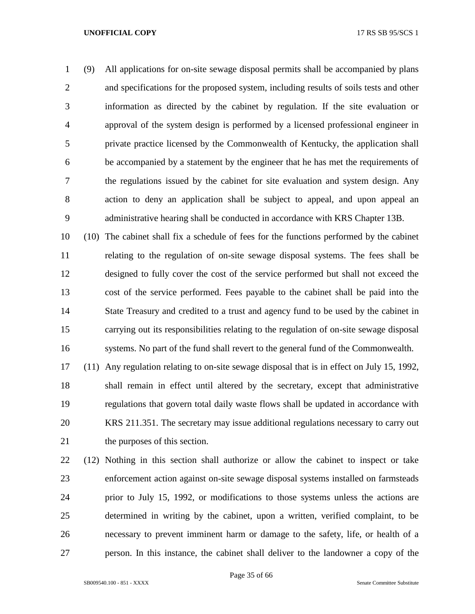(9) All applications for on-site sewage disposal permits shall be accompanied by plans and specifications for the proposed system, including results of soils tests and other information as directed by the cabinet by regulation. If the site evaluation or approval of the system design is performed by a licensed professional engineer in private practice licensed by the Commonwealth of Kentucky, the application shall be accompanied by a statement by the engineer that he has met the requirements of the regulations issued by the cabinet for site evaluation and system design. Any action to deny an application shall be subject to appeal, and upon appeal an administrative hearing shall be conducted in accordance with KRS Chapter 13B.

 (10) The cabinet shall fix a schedule of fees for the functions performed by the cabinet relating to the regulation of on-site sewage disposal systems. The fees shall be designed to fully cover the cost of the service performed but shall not exceed the cost of the service performed. Fees payable to the cabinet shall be paid into the State Treasury and credited to a trust and agency fund to be used by the cabinet in carrying out its responsibilities relating to the regulation of on-site sewage disposal systems. No part of the fund shall revert to the general fund of the Commonwealth.

 (11) Any regulation relating to on-site sewage disposal that is in effect on July 15, 1992, shall remain in effect until altered by the secretary, except that administrative regulations that govern total daily waste flows shall be updated in accordance with KRS 211.351. The secretary may issue additional regulations necessary to carry out the purposes of this section.

 (12) Nothing in this section shall authorize or allow the cabinet to inspect or take enforcement action against on-site sewage disposal systems installed on farmsteads prior to July 15, 1992, or modifications to those systems unless the actions are determined in writing by the cabinet, upon a written, verified complaint, to be necessary to prevent imminent harm or damage to the safety, life, or health of a person. In this instance, the cabinet shall deliver to the landowner a copy of the

SB009540.100 - 851 - XXXX Senate Committee Substitute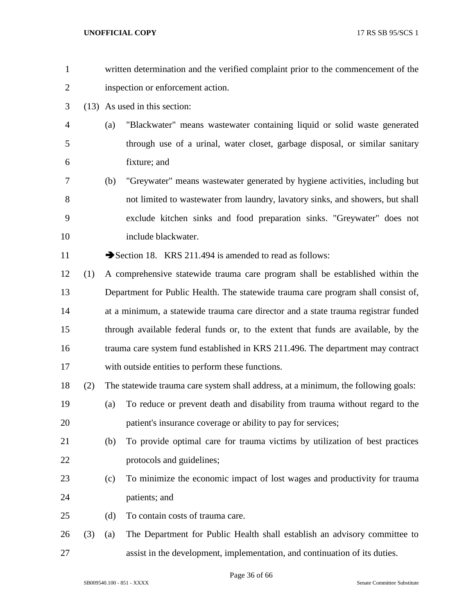| $\mathbf{1}$   |     |     | written determination and the verified complaint prior to the commencement of the  |
|----------------|-----|-----|------------------------------------------------------------------------------------|
| $\overline{2}$ |     |     | inspection or enforcement action.                                                  |
| 3              |     |     | (13) As used in this section:                                                      |
| $\overline{4}$ |     | (a) | "Blackwater" means wastewater containing liquid or solid waste generated           |
| 5              |     |     | through use of a urinal, water closet, garbage disposal, or similar sanitary       |
| 6              |     |     | fixture; and                                                                       |
| 7              |     | (b) | "Greywater" means wastewater generated by hygiene activities, including but        |
| 8              |     |     | not limited to wastewater from laundry, lavatory sinks, and showers, but shall     |
| 9              |     |     | exclude kitchen sinks and food preparation sinks. "Greywater" does not             |
| 10             |     |     | include blackwater.                                                                |
| 11             |     |     | Section 18. KRS 211.494 is amended to read as follows:                             |
| 12             | (1) |     | A comprehensive statewide trauma care program shall be established within the      |
| 13             |     |     | Department for Public Health. The statewide trauma care program shall consist of,  |
| 14             |     |     | at a minimum, a statewide trauma care director and a state trauma registrar funded |
| 15             |     |     | through available federal funds or, to the extent that funds are available, by the |
| 16             |     |     | trauma care system fund established in KRS 211.496. The department may contract    |
| 17             |     |     | with outside entities to perform these functions.                                  |
| 18             | (2) |     | The statewide trauma care system shall address, at a minimum, the following goals: |
| 19             |     |     | (a) To reduce or prevent death and disability from trauma without regard to the    |
| 20             |     |     | patient's insurance coverage or ability to pay for services;                       |
| 21             |     | (b) | To provide optimal care for trauma victims by utilization of best practices        |
| 22             |     |     | protocols and guidelines;                                                          |
| 23             |     | (c) | To minimize the economic impact of lost wages and productivity for trauma          |
| 24             |     |     | patients; and                                                                      |
| 25             |     | (d) | To contain costs of trauma care.                                                   |
| 26             | (3) | (a) | The Department for Public Health shall establish an advisory committee to          |
| 27             |     |     | assist in the development, implementation, and continuation of its duties.         |

Page 36 of 66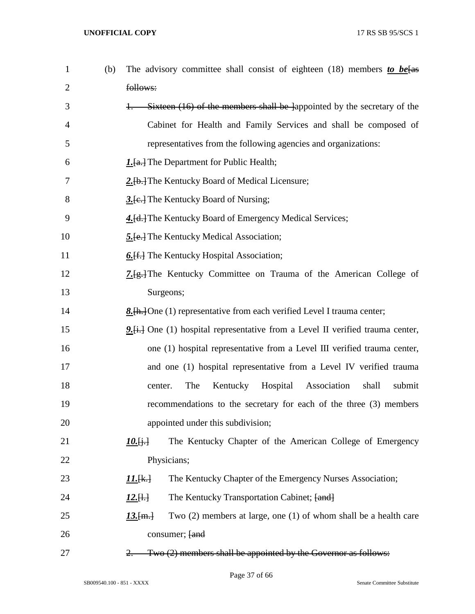| 1              | (b) | The advisory committee shall consist of eighteen (18) members to be [as            |
|----------------|-----|------------------------------------------------------------------------------------|
| $\overline{2}$ |     | follows:                                                                           |
| 3              |     | Sixteen (16) of the members shall be lappointed by the secretary of the            |
| 4              |     | Cabinet for Health and Family Services and shall be composed of                    |
| 5              |     | representatives from the following agencies and organizations:                     |
| 6              |     | <b>1.</b> [a.] The Department for Public Health;                                   |
| 7              |     | 2. [b.] The Kentucky Board of Medical Licensure;                                   |
| 8              |     | 3. [e.] The Kentucky Board of Nursing;                                             |
| 9              |     | 4. [d.] The Kentucky Board of Emergency Medical Services;                          |
| 10             |     | <b>5.</b> [e.] The Kentucky Medical Association;                                   |
| 11             |     | 6. [f.] The Kentucky Hospital Association;                                         |
| 12             |     | 7. [g.] The Kentucky Committee on Trauma of the American College of                |
| 13             |     | Surgeons;                                                                          |
| 14             |     | 8. [h. ] One (1) representative from each verified Level I trauma center;          |
| 15             |     | 9. [i.] One (1) hospital representative from a Level II verified trauma center,    |
| 16             |     | one (1) hospital representative from a Level III verified trauma center,           |
| 17             |     | and one (1) hospital representative from a Level IV verified trauma                |
| 18             |     | Kentucky Hospital<br>Association<br>shall<br>submit<br>The<br>center.              |
| 19             |     | recommendations to the secretary for each of the three (3) members                 |
| 20             |     | appointed under this subdivision;                                                  |
| 21             |     | The Kentucky Chapter of the American College of Emergency<br>$10.6 +$              |
| 22             |     | Physicians;                                                                        |
| 23             |     | The Kentucky Chapter of the Emergency Nurses Association;<br>$11.4 \pm 1$          |
| 24             |     | The Kentucky Transportation Cabinet; [and]<br>$12.[\frac{1}{2}]$                   |
| 25             |     | Two $(2)$ members at large, one $(1)$ of whom shall be a health care<br>$13.$ [m.] |
| 26             |     | consumer; [and                                                                     |
| 27             |     | Two (2) members shall be appointed by the Governor as follows:                     |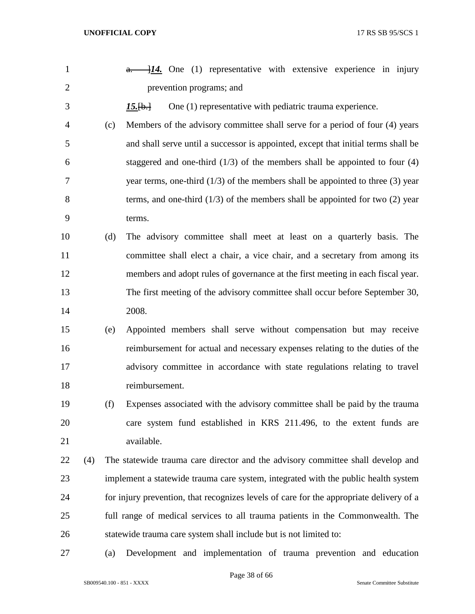| $\mathbf{1}$   |     |     | $\frac{a}{a}$ 14. One (1) representative with extensive experience in injury            |
|----------------|-----|-----|-----------------------------------------------------------------------------------------|
| $\overline{2}$ |     |     | prevention programs; and                                                                |
| 3              |     |     | One (1) representative with pediatric trauma experience.<br>$15.$ [b.]                  |
| 4              |     | (c) | Members of the advisory committee shall serve for a period of four (4) years            |
| 5              |     |     | and shall serve until a successor is appointed, except that initial terms shall be      |
| 6              |     |     | staggered and one-third $(1/3)$ of the members shall be appointed to four $(4)$         |
| 7              |     |     | year terms, one-third $(1/3)$ of the members shall be appointed to three $(3)$ year     |
| 8              |     |     | terms, and one-third $(1/3)$ of the members shall be appointed for two $(2)$ year       |
| 9              |     |     | terms.                                                                                  |
| 10             |     | (d) | The advisory committee shall meet at least on a quarterly basis. The                    |
| 11             |     |     | committee shall elect a chair, a vice chair, and a secretary from among its             |
| 12             |     |     | members and adopt rules of governance at the first meeting in each fiscal year.         |
| 13             |     |     | The first meeting of the advisory committee shall occur before September 30,            |
| 14             |     |     | 2008.                                                                                   |
| 15             |     | (e) | Appointed members shall serve without compensation but may receive                      |
| 16             |     |     | reimbursement for actual and necessary expenses relating to the duties of the           |
| 17             |     |     | advisory committee in accordance with state regulations relating to travel              |
| 18             |     |     | reimbursement.                                                                          |
| 19             |     | (f) | Expenses associated with the advisory committee shall be paid by the trauma             |
| 20             |     |     | care system fund established in KRS 211.496, to the extent funds are                    |
| 21             |     |     | available.                                                                              |
| 22             | (4) |     | The statewide trauma care director and the advisory committee shall develop and         |
| 23             |     |     | implement a statewide trauma care system, integrated with the public health system      |
| 24             |     |     | for injury prevention, that recognizes levels of care for the appropriate delivery of a |
| 25             |     |     | full range of medical services to all trauma patients in the Commonwealth. The          |
| 26             |     |     | statewide trauma care system shall include but is not limited to:                       |
| 27             |     | (a) | Development and implementation of trauma prevention and education                       |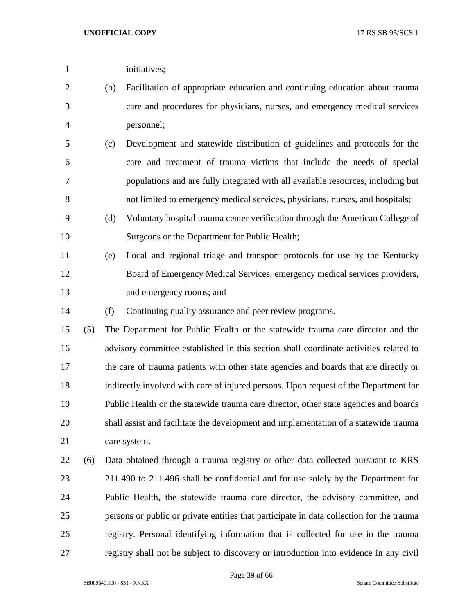| 1              |     | initiatives;                                                                     |
|----------------|-----|----------------------------------------------------------------------------------|
| 2              | (b) | Facilitation of appropriate education and continuing education about trauma      |
| 3              |     | care and procedures for physicians, nurses, and emergency medical services       |
| $\overline{4}$ |     | personnel;                                                                       |
| 5              | (c) | Development and statewide distribution of guidelines and protocols for the       |
| 6              |     | care and treatment of trauma victims that include the needs of special           |
| 7              |     | populations and are fully integrated with all available resources, including but |
| 8              |     | not limited to emergency medical services, physicians, nurses, and hospitals;    |
| 9              | (d) | Voluntary hospital trauma center verification through the American College of    |
| 10             |     | Surgeons or the Department for Public Health;                                    |
| 11             | (e) | Local and regional triage and transport protocols for use by the Kentucky        |
| 12             |     | Board of Emergency Medical Services, emergency medical services providers,       |

and emergency rooms; and

(f) Continuing quality assurance and peer review programs.

 (5) The Department for Public Health or the statewide trauma care director and the advisory committee established in this section shall coordinate activities related to the care of trauma patients with other state agencies and boards that are directly or indirectly involved with care of injured persons. Upon request of the Department for Public Health or the statewide trauma care director, other state agencies and boards shall assist and facilitate the development and implementation of a statewide trauma care system.

 (6) Data obtained through a trauma registry or other data collected pursuant to KRS 211.490 to 211.496 shall be confidential and for use solely by the Department for Public Health, the statewide trauma care director, the advisory committee, and persons or public or private entities that participate in data collection for the trauma registry. Personal identifying information that is collected for use in the trauma registry shall not be subject to discovery or introduction into evidence in any civil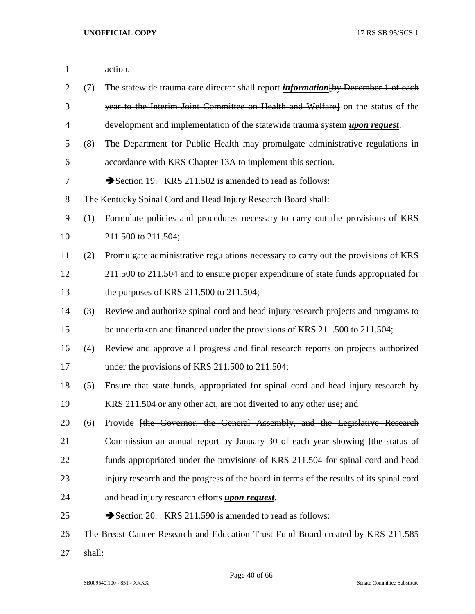| $\mathbf{1}$   |        | action.                                                                                   |
|----------------|--------|-------------------------------------------------------------------------------------------|
| $\overline{2}$ | (7)    | The statewide trauma care director shall report <i>information</i> [by December 1 of each |
| 3              |        | year to the Interim Joint Committee on Health and Welfare on the status of the            |
| $\overline{4}$ |        | development and implementation of the statewide trauma system <i>upon request</i> .       |
| 5              | (8)    | The Department for Public Health may promulgate administrative regulations in             |
| 6              |        | accordance with KRS Chapter 13A to implement this section.                                |
| 7              |        | Section 19. KRS 211.502 is amended to read as follows:                                    |
| $8\,$          |        | The Kentucky Spinal Cord and Head Injury Research Board shall:                            |
| 9              | (1)    | Formulate policies and procedures necessary to carry out the provisions of KRS            |
| 10             |        | 211.500 to 211.504;                                                                       |
| 11             | (2)    | Promulgate administrative regulations necessary to carry out the provisions of KRS        |
| 12             |        | 211.500 to 211.504 and to ensure proper expenditure of state funds appropriated for       |
| 13             |        | the purposes of KRS $211.500$ to $211.504$ ;                                              |
| 14             | (3)    | Review and authorize spinal cord and head injury research projects and programs to        |
| 15             |        | be undertaken and financed under the provisions of KRS 211.500 to 211.504;                |
| 16             | (4)    | Review and approve all progress and final research reports on projects authorized         |
| 17             |        | under the provisions of KRS 211.500 to 211.504;                                           |
| 18             | (5)    | Ensure that state funds, appropriated for spinal cord and head injury research by         |
| 19             |        | KRS 211.504 or any other act, are not diverted to any other use; and                      |
| 20             | (6)    | Provide <del>[the Governor, the General Assembly, and the Legislative Research</del>      |
| 21             |        | Commission an annual report by January 30 of each year showing lifter status of           |
| 22             |        | funds appropriated under the provisions of KRS 211.504 for spinal cord and head           |
| 23             |        | injury research and the progress of the board in terms of the results of its spinal cord  |
| 24             |        | and head injury research efforts <i>upon request</i> .                                    |
| 25             |        | Section 20. KRS 211.590 is amended to read as follows:                                    |
| 26             |        | The Breast Cancer Research and Education Trust Fund Board created by KRS 211.585          |
| 27             | shall: |                                                                                           |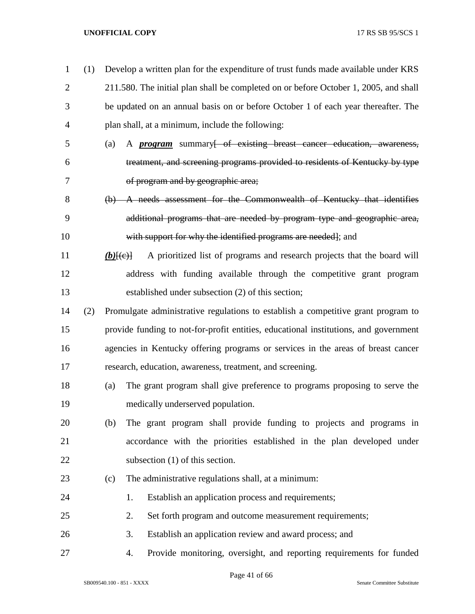| 1              | (1) | Develop a written plan for the expenditure of trust funds made available under KRS                |
|----------------|-----|---------------------------------------------------------------------------------------------------|
| $\overline{2}$ |     | 211.580. The initial plan shall be completed on or before October 1, 2005, and shall              |
| 3              |     | be updated on an annual basis on or before October 1 of each year thereafter. The                 |
| $\overline{4}$ |     | plan shall, at a minimum, include the following:                                                  |
| 5              |     | A <i>program</i> summary <del> of existing breast cancer education, awareness,</del><br>(a)       |
| 6              |     | treatment, and screening programs provided to residents of Kentucky by type                       |
| 7              |     | of program and by geographic area;                                                                |
| 8              |     | (b) A needs assessment for the Commonwealth of Kentucky that identifies                           |
| 9              |     | additional programs that are needed by program type and geographic area,                          |
| 10             |     | with support for why the identified programs are needed]; and                                     |
| 11             |     | A prioritized list of programs and research projects that the board will<br>$(b)$ $\overline{+e}$ |
| 12             |     | address with funding available through the competitive grant program                              |
| 13             |     | established under subsection (2) of this section;                                                 |
| 14             | (2) | Promulgate administrative regulations to establish a competitive grant program to                 |
| 15             |     | provide funding to not-for-profit entities, educational institutions, and government              |
| 16             |     | agencies in Kentucky offering programs or services in the areas of breast cancer                  |
| 17             |     | research, education, awareness, treatment, and screening.                                         |
| 18             |     | The grant program shall give preference to programs proposing to serve the<br>(a)                 |
| 19             |     | medically underserved population.                                                                 |
| 20             |     | The grant program shall provide funding to projects and programs in<br>(b)                        |
| 21             |     | accordance with the priorities established in the plan developed under                            |
| 22             |     | subsection $(1)$ of this section.                                                                 |
| 23             |     | The administrative regulations shall, at a minimum:<br>(c)                                        |
| 24             |     | Establish an application process and requirements;<br>1.                                          |
| 25             |     | 2.<br>Set forth program and outcome measurement requirements;                                     |
| 26             |     | 3.<br>Establish an application review and award process; and                                      |
| 27             |     | Provide monitoring, oversight, and reporting requirements for funded<br>4.                        |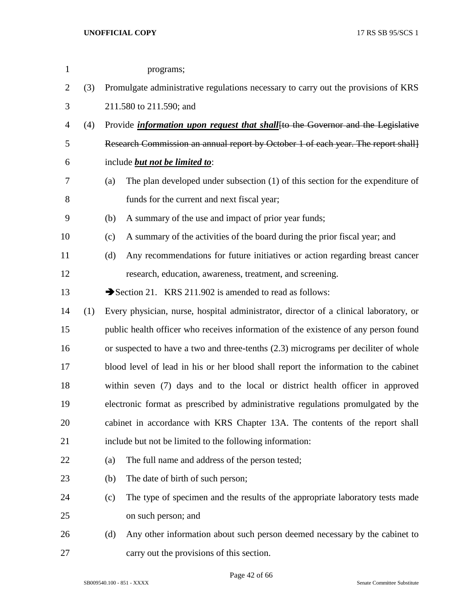| $\mathbf{1}$   |     |                                                                                     | programs;                                                                               |  |  |
|----------------|-----|-------------------------------------------------------------------------------------|-----------------------------------------------------------------------------------------|--|--|
| $\overline{2}$ | (3) |                                                                                     | Promulgate administrative regulations necessary to carry out the provisions of KRS      |  |  |
| 3              |     |                                                                                     | 211.580 to 211.590; and                                                                 |  |  |
| $\overline{4}$ | (4) |                                                                                     | Provide <i>information upon request that shall</i> [to the Governor and the Legislative |  |  |
| 5              |     |                                                                                     | Research Commission an annual report by October 1 of each year. The report shall        |  |  |
| 6              |     |                                                                                     | include <b>but not be limited to:</b>                                                   |  |  |
| 7              |     | (a)                                                                                 | The plan developed under subsection (1) of this section for the expenditure of          |  |  |
| $8\,$          |     |                                                                                     | funds for the current and next fiscal year;                                             |  |  |
| 9              |     | (b)                                                                                 | A summary of the use and impact of prior year funds;                                    |  |  |
| 10             |     | (c)                                                                                 | A summary of the activities of the board during the prior fiscal year; and              |  |  |
| 11             |     | (d)                                                                                 | Any recommendations for future initiatives or action regarding breast cancer            |  |  |
| 12             |     |                                                                                     | research, education, awareness, treatment, and screening.                               |  |  |
| 13             |     |                                                                                     | Section 21. KRS 211.902 is amended to read as follows:                                  |  |  |
| 14             | (1) |                                                                                     | Every physician, nurse, hospital administrator, director of a clinical laboratory, or   |  |  |
| 15             |     |                                                                                     | public health officer who receives information of the existence of any person found     |  |  |
| 16             |     | or suspected to have a two and three-tenths (2.3) micrograms per deciliter of whole |                                                                                         |  |  |
| 17             |     |                                                                                     | blood level of lead in his or her blood shall report the information to the cabinet     |  |  |
| 18             |     |                                                                                     | within seven (7) days and to the local or district health officer in approved           |  |  |
| 19             |     |                                                                                     | electronic format as prescribed by administrative regulations promulgated by the        |  |  |
| 20             |     |                                                                                     | cabinet in accordance with KRS Chapter 13A. The contents of the report shall            |  |  |
| 21             |     |                                                                                     | include but not be limited to the following information:                                |  |  |
| 22             |     | (a)                                                                                 | The full name and address of the person tested;                                         |  |  |
| 23             |     | (b)                                                                                 | The date of birth of such person;                                                       |  |  |
| 24             |     | (c)                                                                                 | The type of specimen and the results of the appropriate laboratory tests made           |  |  |
| 25             |     |                                                                                     | on such person; and                                                                     |  |  |
| 26             |     | (d)                                                                                 | Any other information about such person deemed necessary by the cabinet to              |  |  |
| 27             |     |                                                                                     | carry out the provisions of this section.                                               |  |  |

Page 42 of 66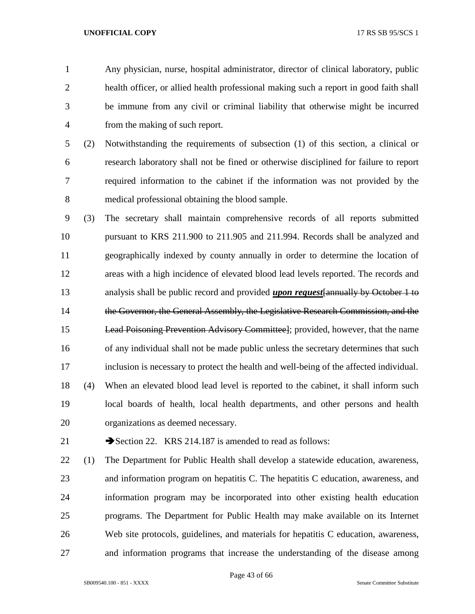Any physician, nurse, hospital administrator, director of clinical laboratory, public health officer, or allied health professional making such a report in good faith shall be immune from any civil or criminal liability that otherwise might be incurred from the making of such report.

 (2) Notwithstanding the requirements of subsection (1) of this section, a clinical or research laboratory shall not be fined or otherwise disciplined for failure to report required information to the cabinet if the information was not provided by the medical professional obtaining the blood sample.

- (3) The secretary shall maintain comprehensive records of all reports submitted pursuant to KRS 211.900 to 211.905 and 211.994. Records shall be analyzed and geographically indexed by county annually in order to determine the location of areas with a high incidence of elevated blood lead levels reported. The records and analysis shall be public record and provided *upon request*[annually by October 1 to 14 the Governor, the General Assembly, the Legislative Research Commission, and the Lead Poisoning Prevention Advisory Committee]; provided, however, that the name of any individual shall not be made public unless the secretary determines that such inclusion is necessary to protect the health and well-being of the affected individual. (4) When an elevated blood lead level is reported to the cabinet, it shall inform such local boards of health, local health departments, and other persons and health organizations as deemed necessary.
- 

21 Section 22. KRS 214.187 is amended to read as follows:

 (1) The Department for Public Health shall develop a statewide education, awareness, and information program on hepatitis C. The hepatitis C education, awareness, and information program may be incorporated into other existing health education programs. The Department for Public Health may make available on its Internet Web site protocols, guidelines, and materials for hepatitis C education, awareness, and information programs that increase the understanding of the disease among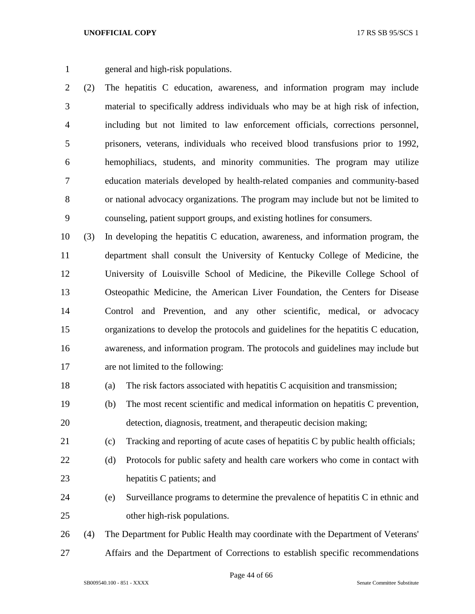general and high-risk populations.

 (2) The hepatitis C education, awareness, and information program may include material to specifically address individuals who may be at high risk of infection, including but not limited to law enforcement officials, corrections personnel, prisoners, veterans, individuals who received blood transfusions prior to 1992, hemophiliacs, students, and minority communities. The program may utilize education materials developed by health-related companies and community-based or national advocacy organizations. The program may include but not be limited to counseling, patient support groups, and existing hotlines for consumers.

 (3) In developing the hepatitis C education, awareness, and information program, the department shall consult the University of Kentucky College of Medicine, the University of Louisville School of Medicine, the Pikeville College School of Osteopathic Medicine, the American Liver Foundation, the Centers for Disease Control and Prevention, and any other scientific, medical, or advocacy organizations to develop the protocols and guidelines for the hepatitis C education, awareness, and information program. The protocols and guidelines may include but are not limited to the following:

- (a) The risk factors associated with hepatitis C acquisition and transmission;
- (b) The most recent scientific and medical information on hepatitis C prevention, detection, diagnosis, treatment, and therapeutic decision making;
- (c) Tracking and reporting of acute cases of hepatitis C by public health officials;
- (d) Protocols for public safety and health care workers who come in contact with hepatitis C patients; and
- (e) Surveillance programs to determine the prevalence of hepatitis C in ethnic and other high-risk populations.

 (4) The Department for Public Health may coordinate with the Department of Veterans' Affairs and the Department of Corrections to establish specific recommendations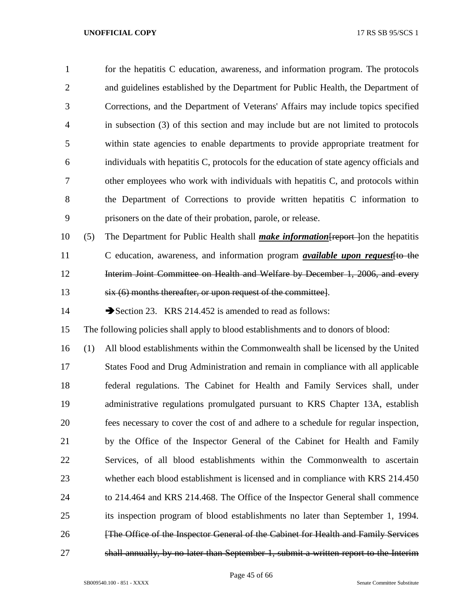| 1              |     | for the hepatitis C education, awareness, and information program. The protocols         |
|----------------|-----|------------------------------------------------------------------------------------------|
| 2              |     | and guidelines established by the Department for Public Health, the Department of        |
| 3              |     | Corrections, and the Department of Veterans' Affairs may include topics specified        |
| $\overline{4}$ |     | in subsection (3) of this section and may include but are not limited to protocols       |
| 5              |     | within state agencies to enable departments to provide appropriate treatment for         |
| 6              |     | individuals with hepatitis C, protocols for the education of state agency officials and  |
| 7              |     | other employees who work with individuals with hepatitis C, and protocols within         |
| 8              |     | the Department of Corrections to provide written hepatitis C information to              |
| 9              |     | prisoners on the date of their probation, parole, or release.                            |
| 10             | (5) | The Department for Public Health shall <i>make information</i> Freport lon the hepatitis |
| 11             |     | C education, awareness, and information program <i>available upon request</i> [to the    |
| 12             |     | Interim Joint Committee on Health and Welfare by December 1, 2006, and every             |

six (6) months thereafter, or upon request of the committee].

14 Section 23. KRS 214.452 is amended to read as follows:

The following policies shall apply to blood establishments and to donors of blood:

 (1) All blood establishments within the Commonwealth shall be licensed by the United States Food and Drug Administration and remain in compliance with all applicable federal regulations. The Cabinet for Health and Family Services shall, under administrative regulations promulgated pursuant to KRS Chapter 13A, establish fees necessary to cover the cost of and adhere to a schedule for regular inspection, by the Office of the Inspector General of the Cabinet for Health and Family Services, of all blood establishments within the Commonwealth to ascertain whether each blood establishment is licensed and in compliance with KRS 214.450 to 214.464 and KRS 214.468. The Office of the Inspector General shall commence its inspection program of blood establishments no later than September 1, 1994. **Figure 1.1** [The Office of the Inspector General of the Cabinet for Health and Family Services shall annually, by no later than September 1, submit a written report to the Interim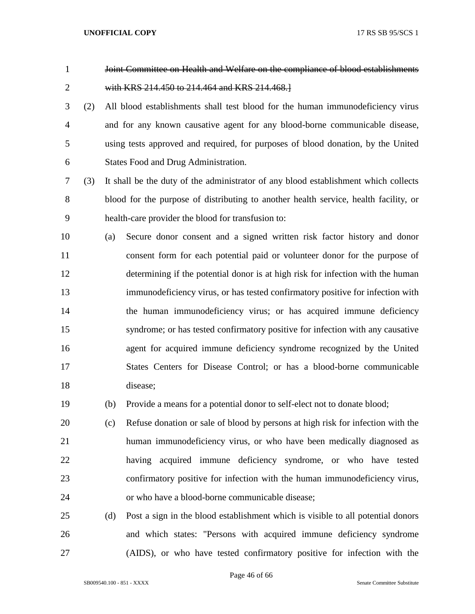Joint Committee on Health and Welfare on the compliance of blood establishments with KRS 214.450 to 214.464 and KRS 214.468.]

 (2) All blood establishments shall test blood for the human immunodeficiency virus and for any known causative agent for any blood-borne communicable disease, using tests approved and required, for purposes of blood donation, by the United States Food and Drug Administration.

 (3) It shall be the duty of the administrator of any blood establishment which collects blood for the purpose of distributing to another health service, health facility, or health-care provider the blood for transfusion to:

 (a) Secure donor consent and a signed written risk factor history and donor consent form for each potential paid or volunteer donor for the purpose of determining if the potential donor is at high risk for infection with the human immunodeficiency virus, or has tested confirmatory positive for infection with the human immunodeficiency virus; or has acquired immune deficiency syndrome; or has tested confirmatory positive for infection with any causative agent for acquired immune deficiency syndrome recognized by the United States Centers for Disease Control; or has a blood-borne communicable disease;

(b) Provide a means for a potential donor to self-elect not to donate blood;

 (c) Refuse donation or sale of blood by persons at high risk for infection with the human immunodeficiency virus, or who have been medically diagnosed as having acquired immune deficiency syndrome, or who have tested confirmatory positive for infection with the human immunodeficiency virus, or who have a blood-borne communicable disease;

 (d) Post a sign in the blood establishment which is visible to all potential donors and which states: "Persons with acquired immune deficiency syndrome (AIDS), or who have tested confirmatory positive for infection with the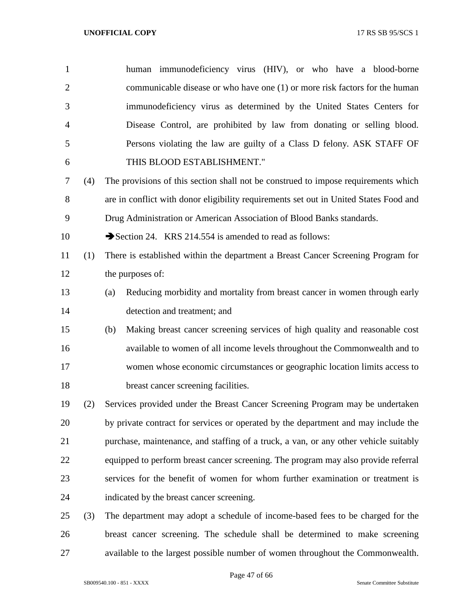| 1              |     | human immunodeficiency virus (HIV), or who have a blood-borne                         |
|----------------|-----|---------------------------------------------------------------------------------------|
| $\overline{2}$ |     | communicable disease or who have one (1) or more risk factors for the human           |
| 3              |     | immunodeficiency virus as determined by the United States Centers for                 |
| $\overline{4}$ |     | Disease Control, are prohibited by law from donating or selling blood.                |
| 5              |     | Persons violating the law are guilty of a Class D felony. ASK STAFF OF                |
| 6              |     | THIS BLOOD ESTABLISHMENT."                                                            |
| 7              | (4) | The provisions of this section shall not be construed to impose requirements which    |
| 8              |     | are in conflict with donor eligibility requirements set out in United States Food and |
| 9              |     | Drug Administration or American Association of Blood Banks standards.                 |
| 10             |     | Section 24. KRS 214.554 is amended to read as follows:                                |
| 11             | (1) | There is established within the department a Breast Cancer Screening Program for      |
| 12             |     | the purposes of:                                                                      |
| 13             |     | Reducing morbidity and mortality from breast cancer in women through early<br>(a)     |
| 14             |     | detection and treatment; and                                                          |
| 15             |     | Making breast cancer screening services of high quality and reasonable cost<br>(b)    |
| 16             |     | available to women of all income levels throughout the Commonwealth and to            |
| 17             |     | women whose economic circumstances or geographic location limits access to            |
| 18             |     | breast cancer screening facilities.                                                   |
| 19             | (2) | Services provided under the Breast Cancer Screening Program may be undertaken         |
| 20             |     | by private contract for services or operated by the department and may include the    |
| 21             |     | purchase, maintenance, and staffing of a truck, a van, or any other vehicle suitably  |
| 22             |     | equipped to perform breast cancer screening. The program may also provide referral    |
| 23             |     | services for the benefit of women for whom further examination or treatment is        |
| 24             |     | indicated by the breast cancer screening.                                             |
| 25             | (3) | The department may adopt a schedule of income-based fees to be charged for the        |
| 26             |     | breast cancer screening. The schedule shall be determined to make screening           |
| 27             |     | available to the largest possible number of women throughout the Commonwealth.        |

Page 47 of 66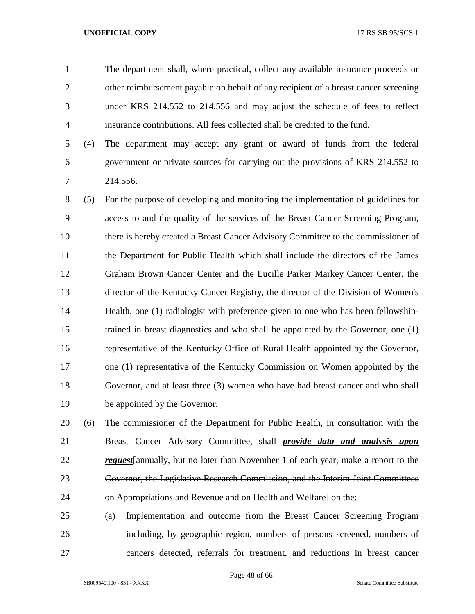The department shall, where practical, collect any available insurance proceeds or other reimbursement payable on behalf of any recipient of a breast cancer screening under KRS 214.552 to 214.556 and may adjust the schedule of fees to reflect insurance contributions. All fees collected shall be credited to the fund.

 (4) The department may accept any grant or award of funds from the federal government or private sources for carrying out the provisions of KRS 214.552 to 214.556.

 (5) For the purpose of developing and monitoring the implementation of guidelines for access to and the quality of the services of the Breast Cancer Screening Program, there is hereby created a Breast Cancer Advisory Committee to the commissioner of the Department for Public Health which shall include the directors of the James Graham Brown Cancer Center and the Lucille Parker Markey Cancer Center, the director of the Kentucky Cancer Registry, the director of the Division of Women's Health, one (1) radiologist with preference given to one who has been fellowship- trained in breast diagnostics and who shall be appointed by the Governor, one (1) representative of the Kentucky Office of Rural Health appointed by the Governor, one (1) representative of the Kentucky Commission on Women appointed by the Governor, and at least three (3) women who have had breast cancer and who shall be appointed by the Governor.

 (6) The commissioner of the Department for Public Health, in consultation with the Breast Cancer Advisory Committee, shall *provide data and analysis upon request*[annually, but no later than November 1 of each year, make a report to the Governor, the Legislative Research Commission, and the Interim Joint Committees 24 on Appropriations and Revenue and on Health and Welfarel on the:

 (a) Implementation and outcome from the Breast Cancer Screening Program including, by geographic region, numbers of persons screened, numbers of cancers detected, referrals for treatment, and reductions in breast cancer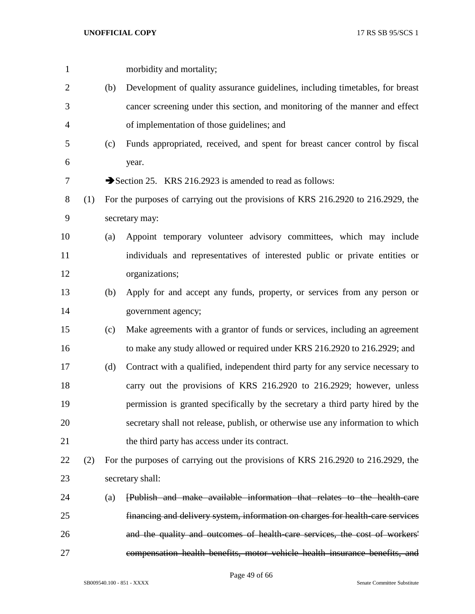|     |     | morbidity and mortality;                                                         |
|-----|-----|----------------------------------------------------------------------------------|
|     | (b) | Development of quality assurance guidelines, including timetables, for breast    |
|     |     | cancer screening under this section, and monitoring of the manner and effect     |
|     |     | of implementation of those guidelines; and                                       |
|     | (c) | Funds appropriated, received, and spent for breast cancer control by fiscal      |
|     |     | year.                                                                            |
|     |     | Section 25. KRS 216.2923 is amended to read as follows:                          |
| (1) |     | For the purposes of carrying out the provisions of KRS 216.2920 to 216.2929, the |
|     |     | secretary may:                                                                   |
|     | (a) | Appoint temporary volunteer advisory committees, which may include               |
|     |     | individuals and representatives of interested public or private entities or      |
|     |     | organizations;                                                                   |
|     | (b) | Apply for and accept any funds, property, or services from any person or         |
|     |     | government agency;                                                               |
|     | (c) | Make agreements with a grantor of funds or services, including an agreement      |
|     |     | to make any study allowed or required under KRS 216.2920 to 216.2929; and        |
|     | (d) | Contract with a qualified, independent third party for any service necessary to  |
|     |     | carry out the provisions of KRS 216.2920 to 216.2929; however, unless            |
|     |     | permission is granted specifically by the secretary a third party hired by the   |
|     |     | secretary shall not release, publish, or otherwise use any information to which  |
|     |     | the third party has access under its contract.                                   |
| (2) |     | For the purposes of carrying out the provisions of KRS 216.2920 to 216.2929, the |
|     |     | secretary shall:                                                                 |
|     | (a) | [Publish and make available information that relates to the health-care          |
|     |     | financing and delivery system, information on charges for health-care services   |
|     |     | and the quality and outcomes of health-care services, the cost of workers'       |
|     |     | compensation health benefits, motor vehicle health insurance benefits, and       |
|     |     |                                                                                  |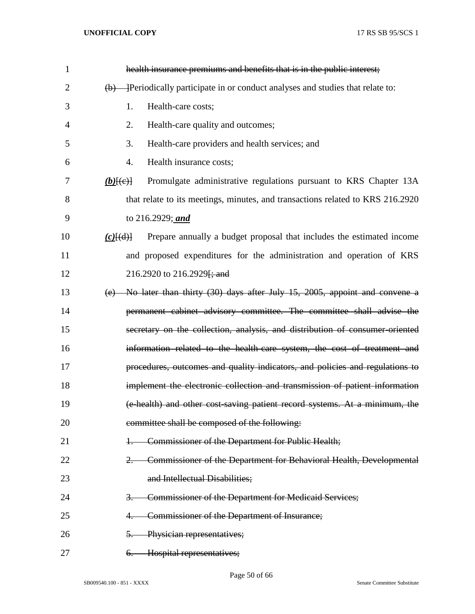| $\mathbf{1}$   | health insurance premiums and benefits that is in the public interest;                            |
|----------------|---------------------------------------------------------------------------------------------------|
| $\overline{2}$ | Periodically participate in or conduct analyses and studies that relate to:<br>(b)                |
| 3              | 1.<br>Health-care costs;                                                                          |
| 4              | 2.<br>Health-care quality and outcomes;                                                           |
| 5              | 3.<br>Health-care providers and health services; and                                              |
| 6              | 4.<br>Health insurance costs;                                                                     |
| 7              | Promulgate administrative regulations pursuant to KRS Chapter 13A<br>$(b)$ $(e)$                  |
| 8              | that relate to its meetings, minutes, and transactions related to KRS 216.2920                    |
| 9              | to 216.2929; and                                                                                  |
| 10             | Prepare annually a budget proposal that includes the estimated income<br>$(c)$ $\{(\mathrm{d})\}$ |
| 11             | and proposed expenditures for the administration and operation of KRS                             |
| 12             | 216.2920 to 216.2929 <del>[; and</del>                                                            |
| 13             | No later than thirty (30) days after July 15, 2005, appoint and convene a<br>(e)                  |
| 14             | permanent cabinet advisory committee. The committee shall advise the                              |
| 15             | secretary on the collection, analysis, and distribution of consumer-oriented                      |
| 16             | information related to the health-care system, the cost of treatment and                          |
| 17             | procedures, outcomes and quality indicators, and policies and regulations to                      |
| 18             | implement the electronic collection and transmission of patient information                       |
| 19             | (e-health) and other cost-saving patient record systems. At a minimum, the                        |
| 20             | committee shall be composed of the following:                                                     |
| 21             | Commissioner of the Department for Public Health;                                                 |
| 22             | Commissioner of the Department for Behavioral Health, Developmental                               |
| 23             | and Intellectual Disabilities;                                                                    |
| 24             | Commissioner of the Department for Medicaid Services;                                             |
| 25             | Commissioner of the Department of Insurance;                                                      |
| 26             | Physician representatives;<br>5.                                                                  |
| 27             | Hospital representatives;<br>$\theta$ .                                                           |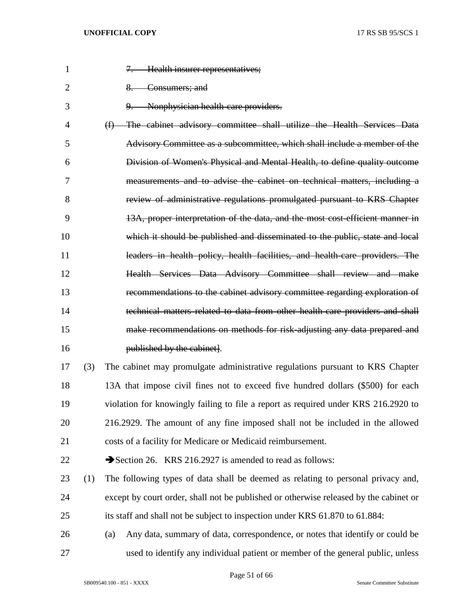| 1              |     | 7. Health insurer representatives;                                                    |
|----------------|-----|---------------------------------------------------------------------------------------|
| $\overline{2}$ |     | 8. Consumers; and                                                                     |
| 3              |     | Nonphysician health care providers.                                                   |
| 4              |     | (f) The cabinet advisory committee shall utilize the Health Services Data             |
| 5              |     | Advisory Committee as a subcommittee, which shall include a member of the             |
| 6              |     | Division of Women's Physical and Mental Health, to define quality outcome             |
| 7              |     | measurements and to advise the cabinet on technical matters, including a              |
| 8              |     | review of administrative regulations promulgated pursuant to KRS Chapter              |
| 9              |     | 13A, proper interpretation of the data, and the most cost efficient manner in         |
| 10             |     | which it should be published and disseminated to the public, state and local          |
| 11             |     | leaders in health policy, health facilities, and health care providers. The           |
| 12             |     | Health Services Data Advisory Committee shall review and make                         |
| 13             |     | recommendations to the cabinet advisory committee regarding exploration of            |
| 14             |     | technical matters related to data from other health care providers and shall          |
| 15             |     | make recommendations on methods for risk adjusting any data prepared and              |
| 16             |     | published by the cabinet.                                                             |
| 17             | (3) | The cabinet may promulgate administrative regulations pursuant to KRS Chapter         |
| 18             |     | 13A that impose civil fines not to exceed five hundred dollars (\$500) for each       |
| 19             |     | violation for knowingly failing to file a report as required under KRS 216.2920 to    |
| 20             |     | 216.2929. The amount of any fine imposed shall not be included in the allowed         |
| 21             |     | costs of a facility for Medicare or Medicaid reimbursement.                           |
| 22             |     | Section 26. KRS 216.2927 is amended to read as follows:                               |
| 23             | (1) | The following types of data shall be deemed as relating to personal privacy and,      |
| 24             |     | except by court order, shall not be published or otherwise released by the cabinet or |
| 25             |     | its staff and shall not be subject to inspection under KRS 61.870 to 61.884:          |
| 26             |     | Any data, summary of data, correspondence, or notes that identify or could be<br>(a)  |
| 27             |     | used to identify any individual patient or member of the general public, unless       |

Page 51 of 66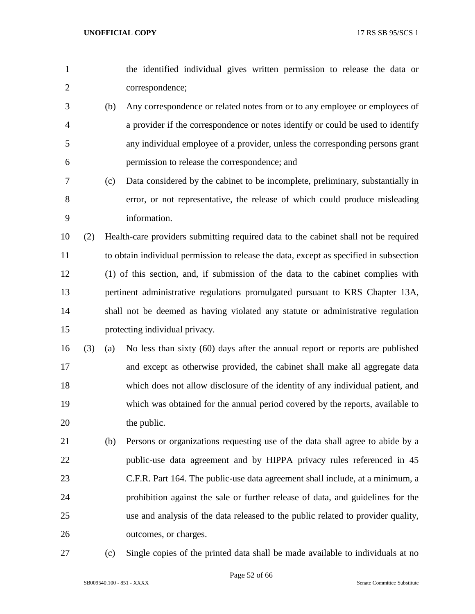| $\mathbf{1}$   |     |     | the identified individual gives written permission to release the data or              |
|----------------|-----|-----|----------------------------------------------------------------------------------------|
| $\overline{c}$ |     |     | correspondence;                                                                        |
| 3              |     | (b) | Any correspondence or related notes from or to any employee or employees of            |
| 4              |     |     | a provider if the correspondence or notes identify or could be used to identify        |
| 5              |     |     | any individual employee of a provider, unless the corresponding persons grant          |
| 6              |     |     | permission to release the correspondence; and                                          |
| 7              |     | (c) | Data considered by the cabinet to be incomplete, preliminary, substantially in         |
| 8              |     |     | error, or not representative, the release of which could produce misleading            |
| 9              |     |     | information.                                                                           |
| 10             | (2) |     | Health-care providers submitting required data to the cabinet shall not be required    |
| 11             |     |     | to obtain individual permission to release the data, except as specified in subsection |
| 12             |     |     | (1) of this section, and, if submission of the data to the cabinet complies with       |
| 13             |     |     | pertinent administrative regulations promulgated pursuant to KRS Chapter 13A,          |
| 14             |     |     | shall not be deemed as having violated any statute or administrative regulation        |
| 15             |     |     | protecting individual privacy.                                                         |
| 16             | (3) | (a) | No less than sixty (60) days after the annual report or reports are published          |
| 17             |     |     | and except as otherwise provided, the cabinet shall make all aggregate data            |
| 18             |     |     | which does not allow disclosure of the identity of any individual patient, and         |
| 19             |     |     | which was obtained for the annual period covered by the reports, available to          |
| 20             |     |     | the public.                                                                            |
| 21             |     | (b) | Persons or organizations requesting use of the data shall agree to abide by a          |
| 22             |     |     | public-use data agreement and by HIPPA privacy rules referenced in 45                  |
| 23             |     |     | C.F.R. Part 164. The public-use data agreement shall include, at a minimum, a          |
| 24             |     |     | prohibition against the sale or further release of data, and guidelines for the        |
| 25             |     |     | use and analysis of the data released to the public related to provider quality,       |
| 26             |     |     | outcomes, or charges.                                                                  |
| 27             |     | (c) | Single copies of the printed data shall be made available to individuals at no         |

Page 52 of 66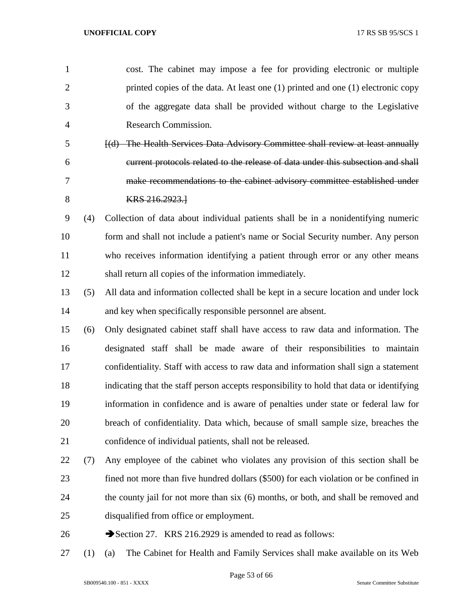| $\mathbf{1}$   |     | cost. The cabinet may impose a fee for providing electronic or multiple                  |
|----------------|-----|------------------------------------------------------------------------------------------|
| $\overline{2}$ |     | printed copies of the data. At least one (1) printed and one (1) electronic copy         |
| 3              |     | of the aggregate data shall be provided without charge to the Legislative                |
| 4              |     | Research Commission.                                                                     |
| 5              |     | [(d) The Health Services Data Advisory Committee shall review at least annually          |
| 6              |     | current protocols related to the release of data under this subsection and shall         |
| 7              |     | make recommendations to the cabinet advisory committee established under                 |
| 8              |     | KRS 216.2923.1                                                                           |
| 9              | (4) | Collection of data about individual patients shall be in a nonidentifying numeric        |
| 10             |     | form and shall not include a patient's name or Social Security number. Any person        |
| 11             |     | who receives information identifying a patient through error or any other means          |
| 12             |     | shall return all copies of the information immediately.                                  |
| 13             | (5) | All data and information collected shall be kept in a secure location and under lock     |
| 14             |     | and key when specifically responsible personnel are absent.                              |
| 15             | (6) | Only designated cabinet staff shall have access to raw data and information. The         |
| 16             |     | designated staff shall be made aware of their responsibilities to maintain               |
| 17             |     | confidentiality. Staff with access to raw data and information shall sign a statement    |
| 18             |     | indicating that the staff person accepts responsibility to hold that data or identifying |
| 19             |     | information in confidence and is aware of penalties under state or federal law for       |
| 20             |     | breach of confidentiality. Data which, because of small sample size, breaches the        |
| 21             |     | confidence of individual patients, shall not be released.                                |
| 22             | (7) | Any employee of the cabinet who violates any provision of this section shall be          |
| 23             |     | fined not more than five hundred dollars (\$500) for each violation or be confined in    |
| 24             |     | the county jail for not more than six (6) months, or both, and shall be removed and      |
| 25             |     | disqualified from office or employment.                                                  |
| 26             |     | Section 27. KRS 216.2929 is amended to read as follows:                                  |
|                |     |                                                                                          |

(1) (a) The Cabinet for Health and Family Services shall make available on its Web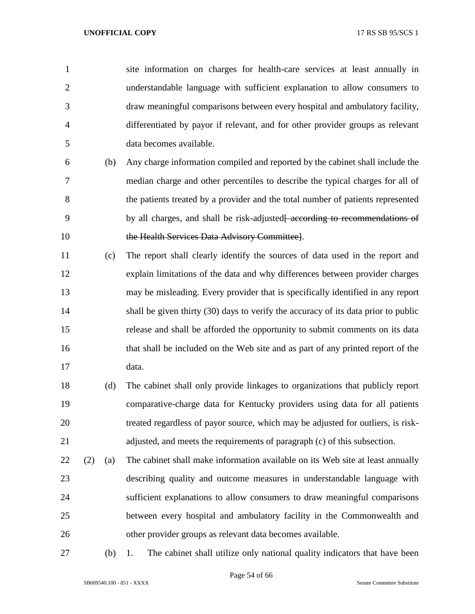site information on charges for health-care services at least annually in understandable language with sufficient explanation to allow consumers to draw meaningful comparisons between every hospital and ambulatory facility, differentiated by payor if relevant, and for other provider groups as relevant data becomes available.

- (b) Any charge information compiled and reported by the cabinet shall include the median charge and other percentiles to describe the typical charges for all of the patients treated by a provider and the total number of patients represented 9 by all charges, and shall be risk-adjusted<del>[ according to recommendations of</del> 10 the Health Services Data Advisory Committee].
- (c) The report shall clearly identify the sources of data used in the report and explain limitations of the data and why differences between provider charges may be misleading. Every provider that is specifically identified in any report shall be given thirty (30) days to verify the accuracy of its data prior to public release and shall be afforded the opportunity to submit comments on its data that shall be included on the Web site and as part of any printed report of the data.
- (d) The cabinet shall only provide linkages to organizations that publicly report comparative-charge data for Kentucky providers using data for all patients treated regardless of payor source, which may be adjusted for outliers, is risk-adjusted, and meets the requirements of paragraph (c) of this subsection.
- (2) (a) The cabinet shall make information available on its Web site at least annually describing quality and outcome measures in understandable language with sufficient explanations to allow consumers to draw meaningful comparisons between every hospital and ambulatory facility in the Commonwealth and other provider groups as relevant data becomes available.
- 

(b) 1. The cabinet shall utilize only national quality indicators that have been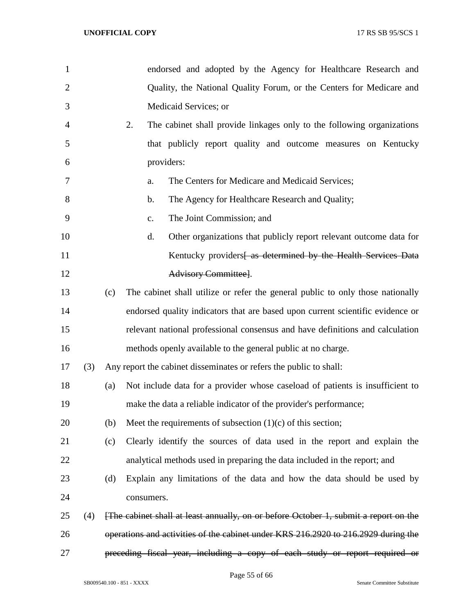| 1              |     |     | endorsed and adopted by the Agency for Healthcare Research and                      |
|----------------|-----|-----|-------------------------------------------------------------------------------------|
| $\overline{2}$ |     |     | Quality, the National Quality Forum, or the Centers for Medicare and                |
| 3              |     |     | Medicaid Services; or                                                               |
| 4              |     |     | 2.<br>The cabinet shall provide linkages only to the following organizations        |
| 5              |     |     | that publicly report quality and outcome measures on Kentucky                       |
| 6              |     |     | providers:                                                                          |
| 7              |     |     | The Centers for Medicare and Medicaid Services;<br>a.                               |
| 8              |     |     | The Agency for Healthcare Research and Quality;<br>$\mathbf b$ .                    |
| 9              |     |     | The Joint Commission; and<br>C.                                                     |
| 10             |     |     | d.<br>Other organizations that publicly report relevant outcome data for            |
| 11             |     |     | Kentucky providers as determined by the Health Services Data                        |
| 12             |     |     | Advisory Committee].                                                                |
| 13             |     | (c) | The cabinet shall utilize or refer the general public to only those nationally      |
| 14             |     |     | endorsed quality indicators that are based upon current scientific evidence or      |
| 15             |     |     | relevant national professional consensus and have definitions and calculation       |
| 16             |     |     | methods openly available to the general public at no charge.                        |
| 17             | (3) |     | Any report the cabinet disseminates or refers the public to shall:                  |
| 18             |     | (a) | Not include data for a provider whose caseload of patients is insufficient to       |
| 19             |     |     | make the data a reliable indicator of the provider's performance;                   |
| 20             |     | (b) | Meet the requirements of subsection $(1)(c)$ of this section;                       |
| 21             |     | (c) | Clearly identify the sources of data used in the report and explain the             |
| 22             |     |     | analytical methods used in preparing the data included in the report; and           |
| 23             |     | (d) | Explain any limitations of the data and how the data should be used by              |
| 24             |     |     | consumers.                                                                          |
| 25             | (4) |     | The cabinet shall at least annually, on or before October 1, submit a report on the |
| 26             |     |     | operations and activities of the cabinet under KRS 216.2920 to 216.2929 during the  |
| 27             |     |     | preceding fiscal year, including a copy of each study or report required or         |

Page 55 of 66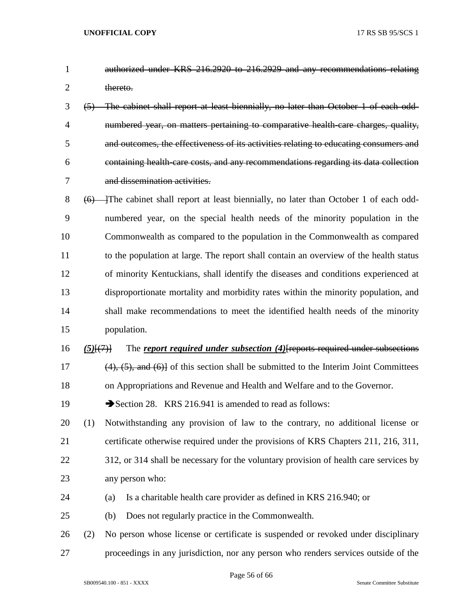- authorized under KRS 216.2920 to 216.2929 and any recommendations relating 2 thereto.
- (5) The cabinet shall report at least biennially, no later than October 1 of each odd- numbered year, on matters pertaining to comparative health-care charges, quality, and outcomes, the effectiveness of its activities relating to educating consumers and containing health-care costs, and any recommendations regarding its data collection and dissemination activities.
- 8 (6) The cabinet shall report at least biennially, no later than October 1 of each odd- numbered year, on the special health needs of the minority population in the Commonwealth as compared to the population in the Commonwealth as compared to the population at large. The report shall contain an overview of the health status of minority Kentuckians, shall identify the diseases and conditions experienced at disproportionate mortality and morbidity rates within the minority population, and shall make recommendations to meet the identified health needs of the minority population.
- *(5)*[(7)] The *report required under subsection (4)*[reports required under subsections 17 (4), (5), and (6)] of this section shall be submitted to the Interim Joint Committees on Appropriations and Revenue and Health and Welfare and to the Governor.
- 19 Section 28. KRS 216.941 is amended to read as follows:
- (1) Notwithstanding any provision of law to the contrary, no additional license or certificate otherwise required under the provisions of KRS Chapters 211, 216, 311,
- 22 312, or 314 shall be necessary for the voluntary provision of health care services by any person who:
- (a) Is a charitable health care provider as defined in KRS 216.940; or
- (b) Does not regularly practice in the Commonwealth.
- (2) No person whose license or certificate is suspended or revoked under disciplinary proceedings in any jurisdiction, nor any person who renders services outside of the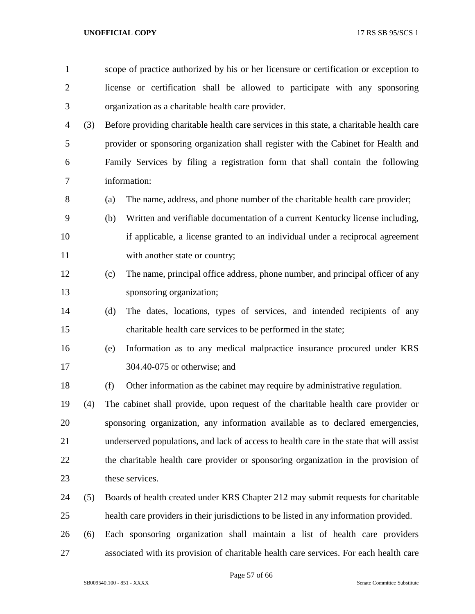| $\mathbf{1}$   |     |     | scope of practice authorized by his or her licensure or certification or exception to    |  |  |  |
|----------------|-----|-----|------------------------------------------------------------------------------------------|--|--|--|
| $\overline{2}$ |     |     | license or certification shall be allowed to participate with any sponsoring             |  |  |  |
| 3              |     |     | organization as a charitable health care provider.                                       |  |  |  |
| 4              | (3) |     | Before providing charitable health care services in this state, a charitable health care |  |  |  |
| 5              |     |     | provider or sponsoring organization shall register with the Cabinet for Health and       |  |  |  |
| 6              |     |     | Family Services by filing a registration form that shall contain the following           |  |  |  |
| 7              |     |     | information:                                                                             |  |  |  |
| 8              |     | (a) | The name, address, and phone number of the charitable health care provider;              |  |  |  |
| 9              |     | (b) | Written and verifiable documentation of a current Kentucky license including,            |  |  |  |
| 10             |     |     | if applicable, a license granted to an individual under a reciprocal agreement           |  |  |  |
| 11             |     |     | with another state or country;                                                           |  |  |  |
| 12             |     | (c) | The name, principal office address, phone number, and principal officer of any           |  |  |  |
| 13             |     |     | sponsoring organization;                                                                 |  |  |  |
| 14             |     | (d) | The dates, locations, types of services, and intended recipients of any                  |  |  |  |
| 15             |     |     | charitable health care services to be performed in the state;                            |  |  |  |
| 16             |     | (e) | Information as to any medical malpractice insurance procured under KRS                   |  |  |  |
| 17             |     |     | 304.40-075 or otherwise; and                                                             |  |  |  |
| 18             |     | (f) | Other information as the cabinet may require by administrative regulation.               |  |  |  |
| 19             | (4) |     | The cabinet shall provide, upon request of the charitable health care provider or        |  |  |  |
| 20             |     |     | sponsoring organization, any information available as to declared emergencies,           |  |  |  |
| 21             |     |     | underserved populations, and lack of access to health care in the state that will assist |  |  |  |
| 22             |     |     | the charitable health care provider or sponsoring organization in the provision of       |  |  |  |
| 23             |     |     | these services.                                                                          |  |  |  |
| 24             | (5) |     | Boards of health created under KRS Chapter 212 may submit requests for charitable        |  |  |  |
| 25             |     |     | health care providers in their jurisdictions to be listed in any information provided.   |  |  |  |
| 26             | (6) |     | Each sponsoring organization shall maintain a list of health care providers              |  |  |  |
| 27             |     |     | associated with its provision of charitable health care services. For each health care   |  |  |  |

Page 57 of 66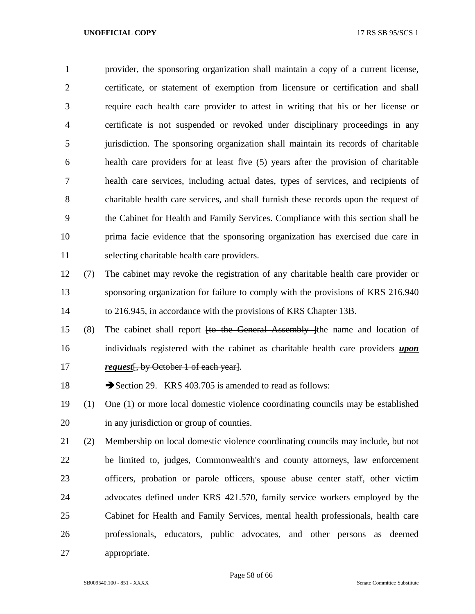provider, the sponsoring organization shall maintain a copy of a current license, certificate, or statement of exemption from licensure or certification and shall require each health care provider to attest in writing that his or her license or certificate is not suspended or revoked under disciplinary proceedings in any jurisdiction. The sponsoring organization shall maintain its records of charitable health care providers for at least five (5) years after the provision of charitable health care services, including actual dates, types of services, and recipients of charitable health care services, and shall furnish these records upon the request of the Cabinet for Health and Family Services. Compliance with this section shall be prima facie evidence that the sponsoring organization has exercised due care in selecting charitable health care providers.

- (7) The cabinet may revoke the registration of any charitable health care provider or sponsoring organization for failure to comply with the provisions of KRS 216.940 to 216.945, in accordance with the provisions of KRS Chapter 13B.
- (8) The cabinet shall report [to the General Assembly ]the name and location of individuals registered with the cabinet as charitable health care providers *upon request* [, by October 1 of each year].

18 Section 29. KRS 403.705 is amended to read as follows:

- (1) One (1) or more local domestic violence coordinating councils may be established in any jurisdiction or group of counties.
- (2) Membership on local domestic violence coordinating councils may include, but not be limited to, judges, Commonwealth's and county attorneys, law enforcement officers, probation or parole officers, spouse abuse center staff, other victim advocates defined under KRS 421.570, family service workers employed by the Cabinet for Health and Family Services, mental health professionals, health care professionals, educators, public advocates, and other persons as deemed appropriate.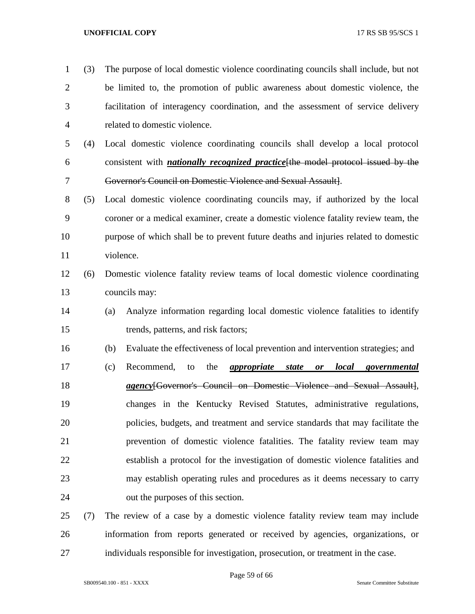- (3) The purpose of local domestic violence coordinating councils shall include, but not be limited to, the promotion of public awareness about domestic violence, the facilitation of interagency coordination, and the assessment of service delivery related to domestic violence. (4) Local domestic violence coordinating councils shall develop a local protocol consistent with *nationally recognized practice*[the model protocol issued by the Governor's Council on Domestic Violence and Sexual Assault]. (5) Local domestic violence coordinating councils may, if authorized by the local coroner or a medical examiner, create a domestic violence fatality review team, the purpose of which shall be to prevent future deaths and injuries related to domestic violence. (6) Domestic violence fatality review teams of local domestic violence coordinating councils may: (a) Analyze information regarding local domestic violence fatalities to identify trends, patterns, and risk factors; (b) Evaluate the effectiveness of local prevention and intervention strategies; and (c) Recommend, to the *appropriate state or local governmental agency*[Governor's Council on Domestic Violence and Sexual Assault], changes in the Kentucky Revised Statutes, administrative regulations, policies, budgets, and treatment and service standards that may facilitate the prevention of domestic violence fatalities. The fatality review team may establish a protocol for the investigation of domestic violence fatalities and may establish operating rules and procedures as it deems necessary to carry out the purposes of this section. (7) The review of a case by a domestic violence fatality review team may include
- information from reports generated or received by agencies, organizations, or individuals responsible for investigation, prosecution, or treatment in the case.

Page 59 of 66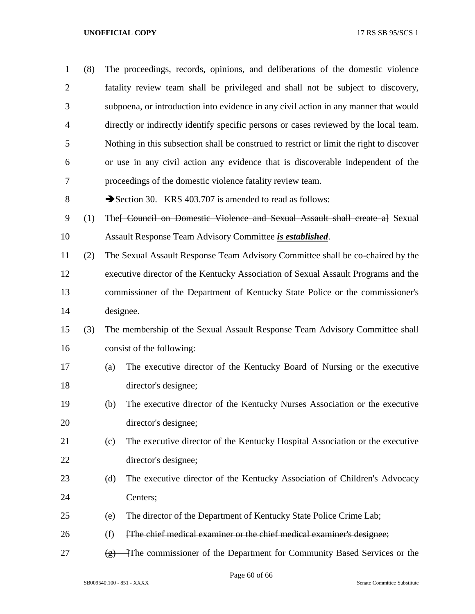| $\mathbf{1}$   | (8) |                   | The proceedings, records, opinions, and deliberations of the domestic violence           |
|----------------|-----|-------------------|------------------------------------------------------------------------------------------|
| $\overline{2}$ |     |                   | fatality review team shall be privileged and shall not be subject to discovery,          |
| 3              |     |                   | subpoena, or introduction into evidence in any civil action in any manner that would     |
| $\overline{4}$ |     |                   | directly or indirectly identify specific persons or cases reviewed by the local team.    |
| 5              |     |                   | Nothing in this subsection shall be construed to restrict or limit the right to discover |
| 6              |     |                   | or use in any civil action any evidence that is discoverable independent of the          |
| 7              |     |                   | proceedings of the domestic violence fatality review team.                               |
| 8              |     |                   | Section 30. KRS 403.707 is amended to read as follows:                                   |
| 9              | (1) |                   | The FCouncil on Domestic Violence and Sexual Assault shall create al Sexual              |
| 10             |     |                   | Assault Response Team Advisory Committee is established.                                 |
| 11             | (2) |                   | The Sexual Assault Response Team Advisory Committee shall be co-chaired by the           |
| 12             |     |                   | executive director of the Kentucky Association of Sexual Assault Programs and the        |
| 13             |     |                   | commissioner of the Department of Kentucky State Police or the commissioner's            |
| 14             |     | designee.         |                                                                                          |
| 15             | (3) |                   | The membership of the Sexual Assault Response Team Advisory Committee shall              |
| 16             |     |                   | consist of the following:                                                                |
| 17             |     | (a)               | The executive director of the Kentucky Board of Nursing or the executive                 |
| 18             |     |                   | director's designee;                                                                     |
| 19             |     | (b)               | The executive director of the Kentucky Nurses Association or the executive               |
| 20             |     |                   | director's designee;                                                                     |
| 21             |     | (c)               | The executive director of the Kentucky Hospital Association or the executive             |
| 22             |     |                   | director's designee;                                                                     |
| 23             |     | (d)               | The executive director of the Kentucky Association of Children's Advocacy                |
| 24             |     |                   | Centers;                                                                                 |
| 25             |     | (e)               | The director of the Department of Kentucky State Police Crime Lab;                       |
| 26             |     | (f)               | [The chief medical examiner or the chief medical examiner's designee;                    |
| 27             |     | $\left( g\right)$ | The commissioner of the Department for Community Based Services or the                   |

Page 60 of 66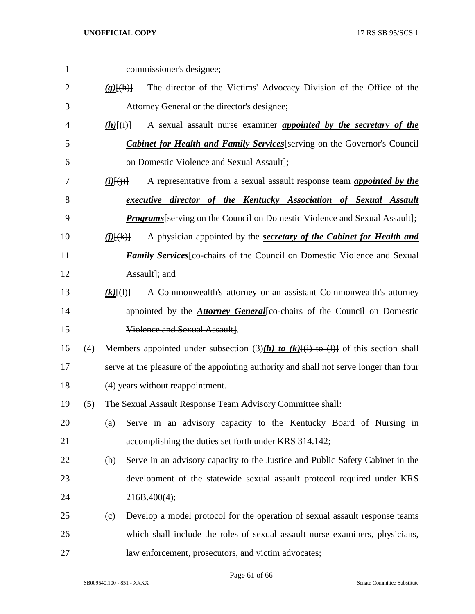| $\mathbf{1}$   |     |                         | commissioner's designee;                                                               |
|----------------|-----|-------------------------|----------------------------------------------------------------------------------------|
| $\overline{2}$ |     | $(g)$ $\{(\text{h})\}$  | The director of the Victims' Advocacy Division of the Office of the                    |
| 3              |     |                         | Attorney General or the director's designee;                                           |
| 4              |     | $(h)$ [(i)]             | A sexual assault nurse examiner <i>appointed by the secretary of the</i>               |
| 5              |     |                         | <b>Cabinet for Health and Family Services</b> [serving on the Governor's Council       |
| 6              |     |                         | on Domestic Violence and Sexual Assault];                                              |
| 7              |     | $(i)$ $(i)$ $(i)$ $(i)$ | A representative from a sexual assault response team <i>appointed by the</i>           |
| 8              |     |                         | executive director of the Kentucky Association of Sexual Assault                       |
| 9              |     |                         | <i>Programs</i> [serving on the Council on Domestic Violence and Sexual Assault];      |
| 10             |     | $(j)$ $(k)$ }           | A physician appointed by the <b>secretary of the Cabinet for Health and</b>            |
| 11             |     |                         | <i>Family Services</i> feo chairs of the Council on Domestic Violence and Sexual       |
| 12             |     |                         | Assault]; and                                                                          |
| 13             |     | $(k)$ $(\dagger)$       | A Commonwealth's attorney or an assistant Commonwealth's attorney                      |
| 14             |     |                         | appointed by the <b>Attorney General</b> [co-chairs of the Council on Domestic         |
| 15             |     |                         | Violence and Sexual Assault].                                                          |
| 16             | (4) |                         | Members appointed under subsection (3)(h) to (k)[(i) to (l)] of this section shall     |
| 17             |     |                         | serve at the pleasure of the appointing authority and shall not serve longer than four |
| 18             |     |                         | (4) years without reappointment.                                                       |
| 19             | (5) |                         | The Sexual Assault Response Team Advisory Committee shall:                             |
| 20             |     | (a)                     | Serve in an advisory capacity to the Kentucky Board of Nursing in                      |
| 21             |     |                         | accomplishing the duties set forth under KRS 314.142;                                  |
| 22             |     | (b)                     | Serve in an advisory capacity to the Justice and Public Safety Cabinet in the          |
| 23             |     |                         | development of the statewide sexual assault protocol required under KRS                |
| 24             |     |                         | 216B.400(4);                                                                           |
| 25             |     | (c)                     | Develop a model protocol for the operation of sexual assault response teams            |
| 26             |     |                         | which shall include the roles of sexual assault nurse examiners, physicians,           |
| 27             |     |                         | law enforcement, prosecutors, and victim advocates;                                    |

Page 61 of 66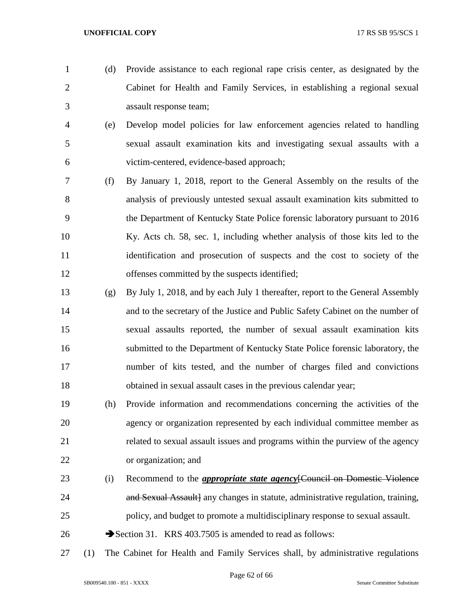- (d) Provide assistance to each regional rape crisis center, as designated by the Cabinet for Health and Family Services, in establishing a regional sexual assault response team;
- (e) Develop model policies for law enforcement agencies related to handling sexual assault examination kits and investigating sexual assaults with a victim-centered, evidence-based approach;
- (f) By January 1, 2018, report to the General Assembly on the results of the analysis of previously untested sexual assault examination kits submitted to the Department of Kentucky State Police forensic laboratory pursuant to 2016 Ky. Acts ch. 58, sec. 1, including whether analysis of those kits led to the identification and prosecution of suspects and the cost to society of the offenses committed by the suspects identified;
- (g) By July 1, 2018, and by each July 1 thereafter, report to the General Assembly and to the secretary of the Justice and Public Safety Cabinet on the number of sexual assaults reported, the number of sexual assault examination kits submitted to the Department of Kentucky State Police forensic laboratory, the number of kits tested, and the number of charges filed and convictions obtained in sexual assault cases in the previous calendar year;
- (h) Provide information and recommendations concerning the activities of the agency or organization represented by each individual committee member as related to sexual assault issues and programs within the purview of the agency or organization; and
- (i) Recommend to the *appropriate state agency*[Council on Domestic Violence **and Sexual Assault** any changes in statute, administrative regulation, training, policy, and budget to promote a multidisciplinary response to sexual assault.
- 26 Section 31. KRS 403.7505 is amended to read as follows:
- (1) The Cabinet for Health and Family Services shall, by administrative regulations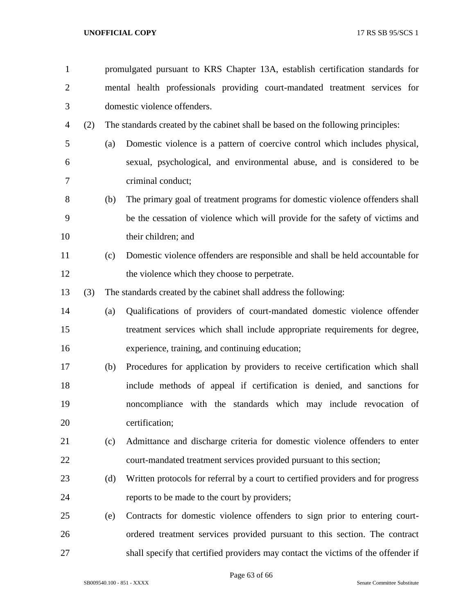| $\mathbf{1}$   |     |     | promulgated pursuant to KRS Chapter 13A, establish certification standards for    |
|----------------|-----|-----|-----------------------------------------------------------------------------------|
| $\overline{2}$ |     |     | mental health professionals providing court-mandated treatment services for       |
| 3              |     |     | domestic violence offenders.                                                      |
| $\overline{4}$ | (2) |     | The standards created by the cabinet shall be based on the following principles:  |
| 5              |     | (a) | Domestic violence is a pattern of coercive control which includes physical,       |
| 6              |     |     | sexual, psychological, and environmental abuse, and is considered to be           |
| 7              |     |     | criminal conduct;                                                                 |
| 8              |     | (b) | The primary goal of treatment programs for domestic violence offenders shall      |
| 9              |     |     | be the cessation of violence which will provide for the safety of victims and     |
| 10             |     |     | their children; and                                                               |
| 11             |     | (c) | Domestic violence offenders are responsible and shall be held accountable for     |
| 12             |     |     | the violence which they choose to perpetrate.                                     |
| 13             | (3) |     | The standards created by the cabinet shall address the following:                 |
| 14             |     | (a) | Qualifications of providers of court-mandated domestic violence offender          |
| 15             |     |     | treatment services which shall include appropriate requirements for degree,       |
| 16             |     |     | experience, training, and continuing education;                                   |
| 17             |     | (b) | Procedures for application by providers to receive certification which shall      |
| 18             |     |     | include methods of appeal if certification is denied, and sanctions for           |
| 19             |     |     | noncompliance with the standards which may include revocation of                  |
| 20             |     |     | certification;                                                                    |
| 21             |     | (c) | Admittance and discharge criteria for domestic violence offenders to enter        |
| 22             |     |     | court-mandated treatment services provided pursuant to this section;              |
| 23             |     | (d) | Written protocols for referral by a court to certified providers and for progress |
| 24             |     |     | reports to be made to the court by providers;                                     |
| 25             |     | (e) | Contracts for domestic violence offenders to sign prior to entering court-        |
| 26             |     |     | ordered treatment services provided pursuant to this section. The contract        |
| 27             |     |     | shall specify that certified providers may contact the victims of the offender if |

Page 63 of 66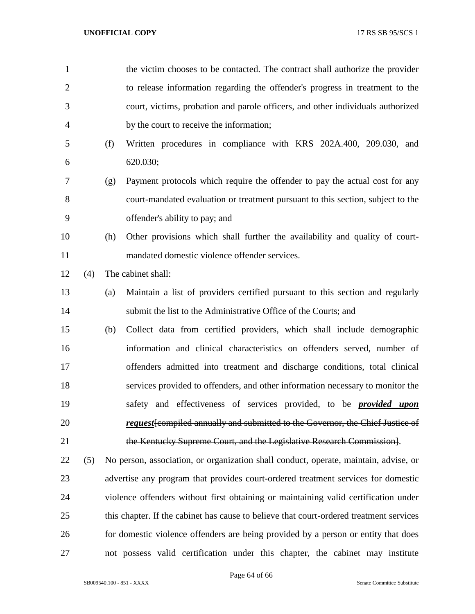| $\mathbf{1}$   |     |     | the victim chooses to be contacted. The contract shall authorize the provider           |
|----------------|-----|-----|-----------------------------------------------------------------------------------------|
| $\overline{2}$ |     |     | to release information regarding the offender's progress in treatment to the            |
| 3              |     |     | court, victims, probation and parole officers, and other individuals authorized         |
| 4              |     |     | by the court to receive the information;                                                |
| 5              |     | (f) | Written procedures in compliance with KRS 202A.400, 209.030, and                        |
| 6              |     |     | 620.030;                                                                                |
| 7              |     | (g) | Payment protocols which require the offender to pay the actual cost for any             |
| 8              |     |     | court-mandated evaluation or treatment pursuant to this section, subject to the         |
| 9              |     |     | offender's ability to pay; and                                                          |
| 10             |     | (h) | Other provisions which shall further the availability and quality of court-             |
| 11             |     |     | mandated domestic violence offender services.                                           |
| 12             | (4) |     | The cabinet shall:                                                                      |
| 13             |     | (a) | Maintain a list of providers certified pursuant to this section and regularly           |
| 14             |     |     | submit the list to the Administrative Office of the Courts; and                         |
| 15             |     | (b) | Collect data from certified providers, which shall include demographic                  |
| 16             |     |     | information and clinical characteristics on offenders served, number of                 |
| 17             |     |     | offenders admitted into treatment and discharge conditions, total clinical              |
| 18             |     |     | services provided to offenders, and other information necessary to monitor the          |
| 19             |     |     | safety and effectiveness of services provided, to be <b>provided upon</b>               |
| 20             |     |     | request [compiled annually and submitted to the Governor, the Chief Justice of          |
| 21             |     |     | the Kentucky Supreme Court, and the Legislative Research Commission.                    |
| 22             | (5) |     | No person, association, or organization shall conduct, operate, maintain, advise, or    |
| 23             |     |     | advertise any program that provides court-ordered treatment services for domestic       |
| 24             |     |     | violence offenders without first obtaining or maintaining valid certification under     |
| 25             |     |     | this chapter. If the cabinet has cause to believe that court-ordered treatment services |
| 26             |     |     | for domestic violence offenders are being provided by a person or entity that does      |

not possess valid certification under this chapter, the cabinet may institute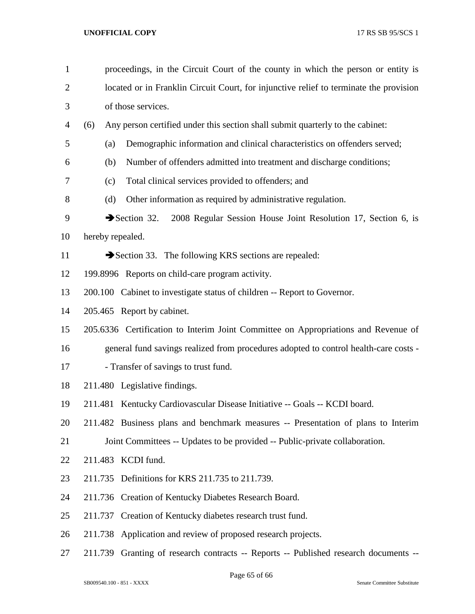| $\mathbf{1}$   | proceedings, in the Circuit Court of the county in which the person or entity is        |  |  |  |  |
|----------------|-----------------------------------------------------------------------------------------|--|--|--|--|
| $\overline{2}$ | located or in Franklin Circuit Court, for injunctive relief to terminate the provision  |  |  |  |  |
| 3              | of those services.                                                                      |  |  |  |  |
| 4              | Any person certified under this section shall submit quarterly to the cabinet:<br>(6)   |  |  |  |  |
| 5              | Demographic information and clinical characteristics on offenders served;<br>(a)        |  |  |  |  |
| 6              | Number of offenders admitted into treatment and discharge conditions;<br>(b)            |  |  |  |  |
| 7              | Total clinical services provided to offenders; and<br>(c)                               |  |  |  |  |
| 8              | Other information as required by administrative regulation.<br>(d)                      |  |  |  |  |
| 9              | Section $32$ .<br>2008 Regular Session House Joint Resolution 17, Section 6, is         |  |  |  |  |
| 10             | hereby repealed.                                                                        |  |  |  |  |
| 11             | Section 33. The following KRS sections are repealed:                                    |  |  |  |  |
| 12             | 199.8996 Reports on child-care program activity.                                        |  |  |  |  |
| 13             | 200.100 Cabinet to investigate status of children -- Report to Governor.                |  |  |  |  |
| 14             | 205.465 Report by cabinet.                                                              |  |  |  |  |
| 15             | 205.6336 Certification to Interim Joint Committee on Appropriations and Revenue of      |  |  |  |  |
| 16             | general fund savings realized from procedures adopted to control health-care costs -    |  |  |  |  |
| 17             | - Transfer of savings to trust fund.                                                    |  |  |  |  |
| 18             | 211.480 Legislative findings.                                                           |  |  |  |  |
| 19             | 211.481 Kentucky Cardiovascular Disease Initiative -- Goals -- KCDI board.              |  |  |  |  |
| 20             | 211.482 Business plans and benchmark measures -- Presentation of plans to Interim       |  |  |  |  |
| 21             | Joint Committees -- Updates to be provided -- Public-private collaboration.             |  |  |  |  |
| 22             | 211.483 KCDI fund.                                                                      |  |  |  |  |
| 23             | 211.735 Definitions for KRS 211.735 to 211.739.                                         |  |  |  |  |
| 24             | 211.736 Creation of Kentucky Diabetes Research Board.                                   |  |  |  |  |
| 25             | Creation of Kentucky diabetes research trust fund.<br>211.737                           |  |  |  |  |
| 26             | 211.738 Application and review of proposed research projects.                           |  |  |  |  |
| 27             | Granting of research contracts -- Reports -- Published research documents --<br>211.739 |  |  |  |  |

Page 65 of 66